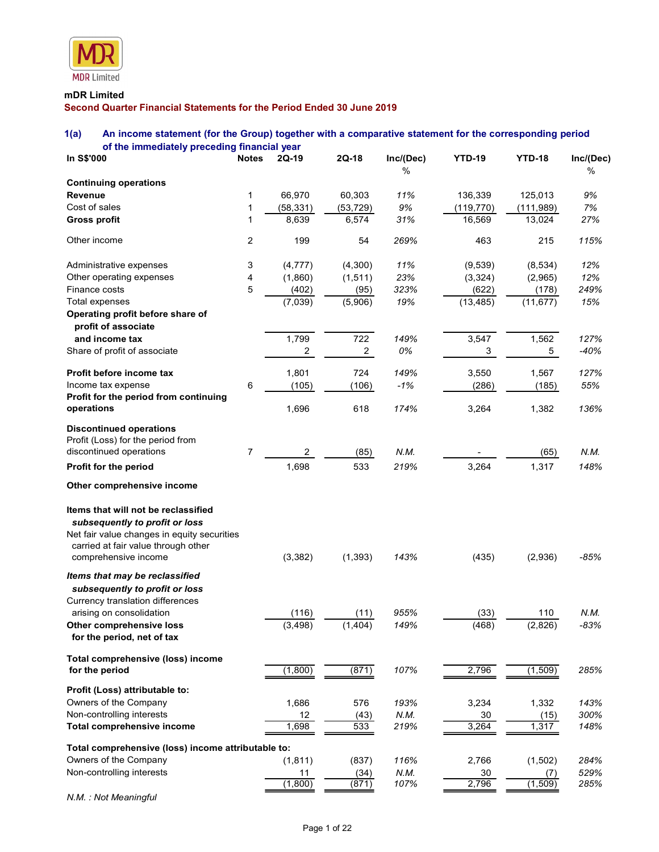

# mDR Limited

# 1(a) An income statement (for the Group) together with a comparative statement for the corresponding period of the immediately preceding financial year

| <b>MDR</b> Limited                                                                                             |                |                         |                                |              |                      |                     |                |
|----------------------------------------------------------------------------------------------------------------|----------------|-------------------------|--------------------------------|--------------|----------------------|---------------------|----------------|
| mDR Limited<br>Second Quarter Financial Statements for the Period Ended 30 June 2019                           |                |                         |                                |              |                      |                     |                |
| 1(a)<br>An income statement (for the Group) together with a comparative statement for the corresponding period |                |                         |                                |              |                      |                     |                |
| of the immediately preceding financial year                                                                    |                |                         |                                |              |                      |                     |                |
| In S\$'000                                                                                                     | <b>Notes</b>   | 2Q-19                   | $2Q-18$                        | Inc/(Dec)    | <b>YTD-19</b>        | <b>YTD-18</b>       | Inc/(Dec)      |
| <b>Continuing operations</b>                                                                                   |                |                         |                                | %            |                      |                     | %              |
| <b>Revenue</b>                                                                                                 |                | 66,970                  | 60,303                         | 11%          | 136,339              | 125,013             | 9%             |
| Cost of sales                                                                                                  |                | (58, 331)<br>8,639      | (53, 729)<br>6,574             | 9%<br>31%    | (119, 770)<br>16,569 | (111,989)<br>13,024 | 7%<br>27%      |
| <b>Gross profit</b>                                                                                            |                |                         |                                |              |                      |                     |                |
| Other income                                                                                                   | $\overline{2}$ | 199                     | 54                             | 269%         | 463                  | 215                 | 115%           |
| Administrative expenses                                                                                        | 3              | (4, 777)                | (4,300)                        | 11%          | (9,539)              | (8, 534)            | 12%            |
| Other operating expenses<br>Finance costs                                                                      | 4<br>5         | (1,860)                 | (1, 511)                       | 23%          | (3, 324)             | (2,965)             | 12%<br>249%    |
| Total expenses                                                                                                 |                | (402)<br>(7,039)        | (95)<br>(5,906)                | 323%<br>19%  | (622)<br>(13, 485)   | (178)<br>(11, 677)  | 15%            |
| Operating profit before share of<br>profit of associate                                                        |                |                         |                                |              |                      |                     |                |
| and income tax<br>Share of profit of associate                                                                 |                | 1,799<br>$\overline{c}$ | 722<br>$\overline{\mathbf{c}}$ | 149%<br>0%   | 3,547<br>3           | 1,562<br>5          | 127%<br>$-40%$ |
| Profit before income tax                                                                                       |                | 1,801                   | 724                            | 149%         | 3,550                | 1,567               | 127%           |
| Income tax expense                                                                                             | 6              | (105)                   | (106)                          | $-1%$        | (286)                | (185)               | 55%            |
| Profit for the period from continuing<br>operations                                                            |                | 1,696                   | 618                            | 174%         | 3,264                | 1,382               | 136%           |
| <b>Discontinued operations</b>                                                                                 |                |                         |                                |              |                      |                     |                |
| Profit (Loss) for the period from<br>discontinued operations                                                   | $\overline{7}$ | $\overline{2}$          | (85)                           | N.M.         |                      | (65)                | N.M.           |
| Profit for the period                                                                                          |                | 1,698                   | 533                            | 219%         | 3,264                | 1,317               | 148%           |
| Other comprehensive income                                                                                     |                |                         |                                |              |                      |                     |                |
| Items that will not be reclassified                                                                            |                |                         |                                |              |                      |                     |                |
| subsequently to profit or loss                                                                                 |                |                         |                                |              |                      |                     |                |
| Net fair value changes in equity securities<br>carried at fair value through other                             |                |                         |                                |              |                      |                     |                |
| comprehensive income                                                                                           |                | (3, 382)                | (1, 393)                       | 143%         | (435)                | (2,936)             | $-85%$         |
| Items that may be reclassified                                                                                 |                |                         |                                |              |                      |                     |                |
| subsequently to profit or loss                                                                                 |                |                         |                                |              |                      |                     |                |
| Currency translation differences<br>arising on consolidation                                                   |                | (116)                   | (11)                           | 955%         | (33)                 | 110                 | N.M.           |
| Other comprehensive loss                                                                                       |                | (3, 498)                | (1,404)                        | 149%         | (468)                | (2,826)             | $-83%$         |
| for the period, net of tax                                                                                     |                |                         |                                |              |                      |                     |                |
| Total comprehensive (loss) income<br>for the period                                                            |                | (1,800)                 | (871)                          | 107%         | 2,796                | (1,509)             | 285%           |
| Profit (Loss) attributable to:                                                                                 |                |                         |                                |              |                      |                     |                |
| Owners of the Company                                                                                          |                | 1,686                   | 576                            | 193%         | 3,234                | 1,332               | 143%           |
| Non-controlling interests                                                                                      |                | 12                      | (43)                           | N.M.         | 30                   | (15)                | 300%           |
| Total comprehensive income                                                                                     |                | 1,698                   | 533                            | 219%         | 3,264                | 1,317               | 148%           |
| Total comprehensive (loss) income attributable to:                                                             |                |                         |                                |              |                      |                     |                |
| Owners of the Company<br>Non-controlling interests                                                             |                | (1, 811)<br>11          | (837)<br>(34)                  | 116%<br>N.M. | 2,766<br>30          | (1,502)<br>(7)      | 284%<br>529%   |
|                                                                                                                |                | (1,800)                 | (871)                          | 107%         | 2,796                | (1, 509)            | 285%           |

N.M. : Not Meaningful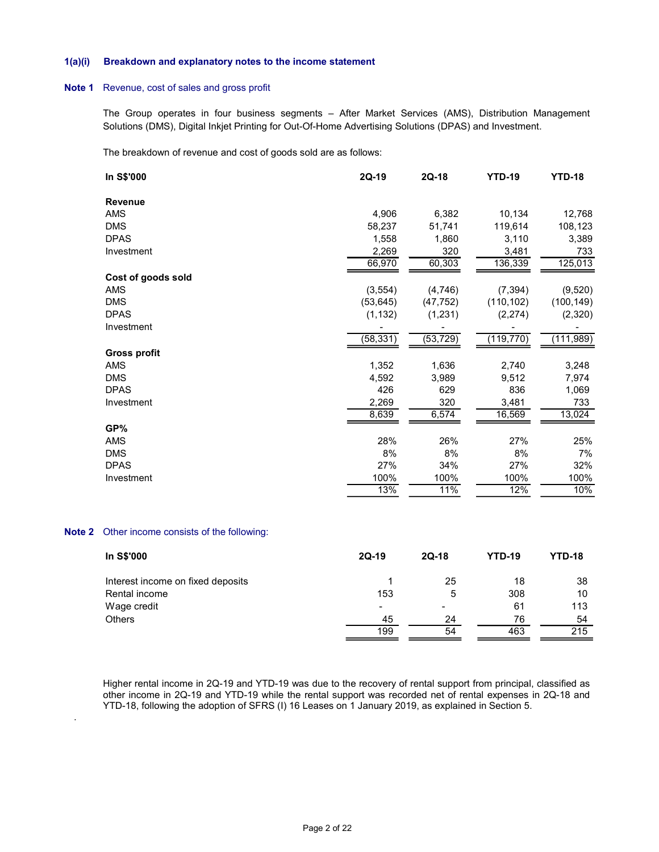#### 1(a)(i) Breakdown and explanatory notes to the income statement

#### Note 1 Revenue, cost of sales and gross profit

| a)(i) | Breakdown and explanatory notes to the income statement                                                                                                                                                      |                          |                          |               |               |
|-------|--------------------------------------------------------------------------------------------------------------------------------------------------------------------------------------------------------------|--------------------------|--------------------------|---------------|---------------|
| pte 1 | Revenue, cost of sales and gross profit                                                                                                                                                                      |                          |                          |               |               |
|       | The Group operates in four business segments - After Market Services (AMS), Distribution Management<br>Solutions (DMS), Digital Inkjet Printing for Out-Of-Home Advertising Solutions (DPAS) and Investment. |                          |                          |               |               |
|       | The breakdown of revenue and cost of goods sold are as follows:                                                                                                                                              |                          |                          |               |               |
|       | In S\$'000                                                                                                                                                                                                   | $2Q-19$                  | 2Q-18                    | <b>YTD-19</b> | <b>YTD-18</b> |
|       | <b>Revenue</b>                                                                                                                                                                                               |                          |                          |               |               |
|       | AMS                                                                                                                                                                                                          | 4,906                    | 6,382                    | 10,134        | 12,768        |
|       | <b>DMS</b>                                                                                                                                                                                                   | 58,237                   | 51,741                   | 119,614       | 108,123       |
|       | <b>DPAS</b>                                                                                                                                                                                                  | 1,558                    | 1,860                    | 3,110         | 3,389         |
|       | Investment                                                                                                                                                                                                   | 2,269                    | 320                      | 3,481         | 733           |
|       |                                                                                                                                                                                                              | 66,970                   | 60,303                   | 136,339       | 125,013       |
|       | Cost of goods sold                                                                                                                                                                                           |                          |                          |               |               |
|       |                                                                                                                                                                                                              |                          |                          |               |               |
|       | AMS                                                                                                                                                                                                          | (3, 554)                 | (4, 746)                 | (7, 394)      | (9,520)       |
|       | <b>DMS</b>                                                                                                                                                                                                   | (53, 645)                | (47, 752)                | (110, 102)    | (100, 149)    |
|       | <b>DPAS</b>                                                                                                                                                                                                  | (1, 132)                 | (1, 231)                 | (2,274)       | (2,320)       |
|       | Investment                                                                                                                                                                                                   |                          |                          |               |               |
|       |                                                                                                                                                                                                              | (58, 331)                | (53, 729)                | (119, 770)    | (111,989)     |
|       | <b>Gross profit</b>                                                                                                                                                                                          |                          |                          |               |               |
|       | AMS                                                                                                                                                                                                          | 1,352                    | 1,636                    | 2,740         | 3,248         |
|       | <b>DMS</b>                                                                                                                                                                                                   | 4,592                    | 3,989                    | 9,512         | 7,974         |
|       | <b>DPAS</b>                                                                                                                                                                                                  | 426                      | 629                      | 836           | 1,069         |
|       | Investment                                                                                                                                                                                                   | 2,269                    | 320                      | 3,481         | 733           |
|       |                                                                                                                                                                                                              | 8,639                    | 6,574                    | 16,569        | 13,024        |
|       |                                                                                                                                                                                                              |                          |                          |               |               |
|       | GP%                                                                                                                                                                                                          |                          |                          |               |               |
|       | AMS                                                                                                                                                                                                          | 28%                      | 26%                      | 27%           | 25%           |
|       | <b>DMS</b>                                                                                                                                                                                                   | 8%                       | $8\%$                    | 8%            | 7%            |
|       | <b>DPAS</b>                                                                                                                                                                                                  | 27%                      | 34%                      | 27%           | 32%           |
|       | Investment                                                                                                                                                                                                   | 100%                     | 100%                     | 100%          | 100%          |
|       |                                                                                                                                                                                                              | 13%                      | 11%                      | 12%           | 10%           |
|       | ote 2 Other income consists of the following:                                                                                                                                                                |                          |                          |               |               |
|       | In S\$'000                                                                                                                                                                                                   | $2Q-19$                  | $2Q-18$                  | <b>YTD-19</b> | <b>YTD-18</b> |
|       | Interest income on fixed deposits                                                                                                                                                                            | $\mathbf{1}$             | 25                       | 18            | 38            |
|       | Rental income                                                                                                                                                                                                | 153                      | 5                        | 308           | $10$          |
|       | Wage credit                                                                                                                                                                                                  | $\overline{\phantom{0}}$ | $\overline{\phantom{a}}$ | 61            | 113           |
|       | Others                                                                                                                                                                                                       | 45                       | 24                       | 76            | 54            |
|       |                                                                                                                                                                                                              |                          |                          |               |               |

# Note 2 Other income consists of the following:

.

| In S\$'000                        | $2Q-19$                  | $2Q-18$                  | <b>YTD-19</b> | <b>YTD-18</b> |
|-----------------------------------|--------------------------|--------------------------|---------------|---------------|
| Interest income on fixed deposits |                          | 25                       | 18            | 38            |
| Rental income                     | 153                      | 5                        | 308           | 10            |
| Wage credit                       | $\overline{\phantom{a}}$ | $\overline{\phantom{a}}$ | 61            | 113           |
| Others                            | 45                       | 24                       | 76            | 54            |
|                                   | 199                      | 54                       | 463           | 215           |

Higher rental income in 2Q-19 and YTD-19 was due to the recovery of rental support from principal, classified as other income in 2Q-19 and YTD-19 while the rental support was recorded net of rental expenses in 2Q-18 and YTD-18, following the adoption of SFRS (I) 16 Leases on 1 January 2019, as explained in Section 5.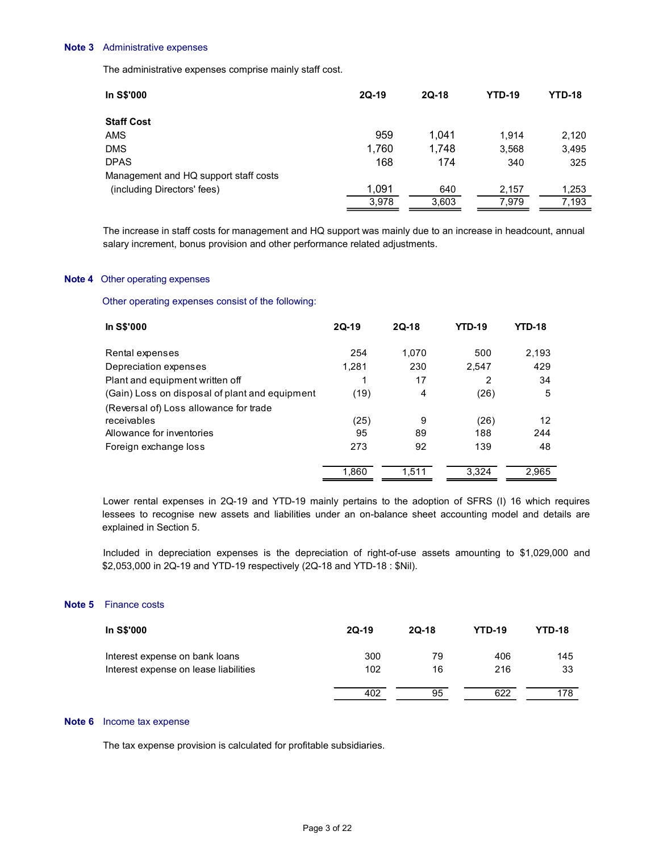#### Note 3 Administrative expenses

| Note 3 | Administrative expenses                                                                                                                                                                      |                |                |                |               |                |
|--------|----------------------------------------------------------------------------------------------------------------------------------------------------------------------------------------------|----------------|----------------|----------------|---------------|----------------|
|        | The administrative expenses comprise mainly staff cost.                                                                                                                                      |                |                |                |               |                |
|        | In S\$'000                                                                                                                                                                                   | $2Q-19$        | $2Q-18$        |                | <b>YTD-19</b> | <b>YTD-18</b>  |
|        | <b>Staff Cost</b>                                                                                                                                                                            |                |                |                |               |                |
|        | AMS                                                                                                                                                                                          |                | 959            | 1,041          | 1,914         | 2,120          |
|        | <b>DMS</b><br><b>DPAS</b>                                                                                                                                                                    | 1,760          | 168            | 1,748<br>174   | 3,568<br>340  | 3,495<br>325   |
|        | Management and HQ support staff costs                                                                                                                                                        |                |                |                |               |                |
|        | (including Directors' fees)                                                                                                                                                                  | 1,091          |                | 640            | 2,157         | 1,253          |
|        |                                                                                                                                                                                              |                | 3,978          | 3,603          | 7,979         | 7,193          |
|        | The increase in staff costs for management and HQ support was mainly due to an increase in headcount, annual<br>salary increment, bonus provision and other performance related adjustments. |                |                |                |               |                |
|        | <b>Note 4</b> Other operating expenses                                                                                                                                                       |                |                |                |               |                |
|        | Other operating expenses consist of the following:                                                                                                                                           |                |                |                |               |                |
|        | In S\$'000                                                                                                                                                                                   | $2Q-19$        | $2Q-18$        | <b>YTD-19</b>  | <b>YTD-18</b> |                |
|        | Rental expenses                                                                                                                                                                              | 254            | 1,070          | 500            | 2,193         |                |
|        | Depreciation expenses                                                                                                                                                                        | 1,281          | 230            | 2,547          | 429           |                |
|        | Plant and equipment written off                                                                                                                                                              | $\overline{1}$ | $17\,$         | $\overline{2}$ | $34\,$        |                |
|        | (Gain) Loss on disposal of plant and equipment                                                                                                                                               | (19)           | $\overline{4}$ | (26)           |               | $\overline{5}$ |

## Note 4 Other operating expenses

| <b>DPAS</b><br>168<br>174<br>340<br>325<br>Management and HQ support staff costs<br>1,091<br>(including Directors' fees)<br>640<br>1,253<br>2,157<br>3,978<br>3,603<br>7,979<br>7,193<br><b>YTD-19</b><br>2Q-19<br>2Q-18<br><b>YTD-18</b>                                                    |
|----------------------------------------------------------------------------------------------------------------------------------------------------------------------------------------------------------------------------------------------------------------------------------------------|
| The increase in staff costs for management and HQ support was mainly due to an increase in headcount, annual<br>salary increment, bonus provision and other performance related adjustments.<br>Other operating expenses<br>Other operating expenses consist of the following:<br>In S\$'000 |
|                                                                                                                                                                                                                                                                                              |
|                                                                                                                                                                                                                                                                                              |
|                                                                                                                                                                                                                                                                                              |
|                                                                                                                                                                                                                                                                                              |
|                                                                                                                                                                                                                                                                                              |
|                                                                                                                                                                                                                                                                                              |
|                                                                                                                                                                                                                                                                                              |
|                                                                                                                                                                                                                                                                                              |
| 1,070<br>500<br>2,193<br>Rental expenses<br>254                                                                                                                                                                                                                                              |
| Depreciation expenses<br>1,281<br>230<br>2,547<br>429                                                                                                                                                                                                                                        |
| Plant and equipment written off<br>17<br>2<br>34<br>-1                                                                                                                                                                                                                                       |
| (Gain) Loss on disposal of plant and equipment<br>(19)<br>5<br>4<br>(26)                                                                                                                                                                                                                     |
| (Reversal of) Loss allowance for trade                                                                                                                                                                                                                                                       |
| receivables<br>9<br>12<br>(25)<br>(26)                                                                                                                                                                                                                                                       |
| 244<br>Allowance for inventories<br>95<br>89<br>188                                                                                                                                                                                                                                          |
| 92<br>Foreign exchange loss<br>273<br>139<br>48                                                                                                                                                                                                                                              |
| 1,860<br>1,511<br>3,324<br>2,965                                                                                                                                                                                                                                                             |

# Note 5 Finance costs

| In S\$'000                            | $2Q-19$ | $2Q-18$ | <b>YTD-19</b> | <b>YTD-18</b> |  |
|---------------------------------------|---------|---------|---------------|---------------|--|
| Interest expense on bank loans        | 300     | 79      | 406           | 145           |  |
| Interest expense on lease liabilities | 102     | 16      | 216           | 33            |  |
|                                       | 402     | 95      | 622           | 178           |  |

# Note 6 Income tax expense

The tax expense provision is calculated for profitable subsidiaries.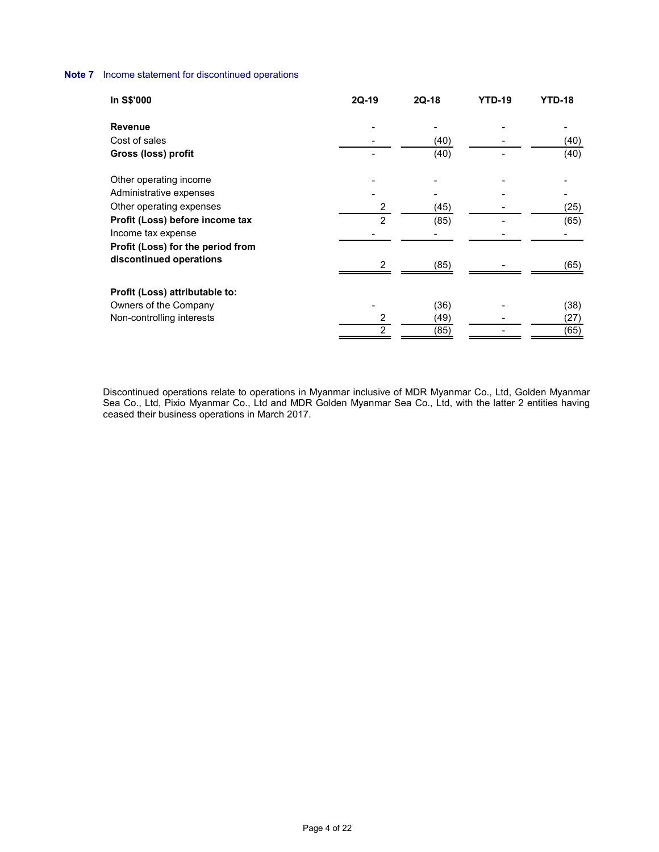# Note 7 Income statement for discontinued operations

| ncome statement for discontinued operations |                          |                     |                          |                            |
|---------------------------------------------|--------------------------|---------------------|--------------------------|----------------------------|
|                                             |                          |                     |                          |                            |
| In S\$'000                                  | $2Q-19$                  | $2Q-18$             | <b>YTD-19</b>            | <b>YTD-18</b>              |
| Revenue                                     |                          | $\blacksquare$      |                          | $\blacksquare$             |
| Cost of sales                               | $\overline{\phantom{a}}$ | (40)                | $\overline{\phantom{a}}$ | (40)                       |
| Gross (loss) profit                         | $\overline{\phantom{a}}$ | (40)                |                          | (40)                       |
|                                             |                          |                     |                          |                            |
| Other operating income                      |                          |                     |                          |                            |
|                                             |                          |                     |                          |                            |
|                                             |                          |                     |                          |                            |
| Administrative expenses                     |                          |                     | $\overline{\phantom{0}}$ |                            |
| Other operating expenses                    | $\overline{c}$           | (45)                |                          | (25)                       |
| Profit (Loss) before income tax             | $\overline{2}$           | (85)                |                          | (65)<br>$\sim$             |
| Income tax expense                          |                          | $\blacksquare$      |                          |                            |
| Profit (Loss) for the period from           |                          |                     |                          |                            |
| discontinued operations                     | $\overline{c}$           | (85)                |                          | (65)                       |
|                                             |                          |                     |                          |                            |
| Profit (Loss) attributable to:              |                          |                     |                          |                            |
| Owners of the Company                       | $\blacksquare$           | (36)                |                          |                            |
| Non-controlling interests                   | $\frac{2}{2}$            | $\frac{(49)}{(85)}$ | $\blacksquare$           | $(38)$<br>$(27)$<br>$(65)$ |

 Discontinued operations relate to operations in Myanmar inclusive of MDR Myanmar Co., Ltd, Golden Myanmar Sea Co., Ltd, Pixio Myanmar Co., Ltd and MDR Golden Myanmar Sea Co., Ltd, with the latter 2 entities having ceased their business operations in March 2017.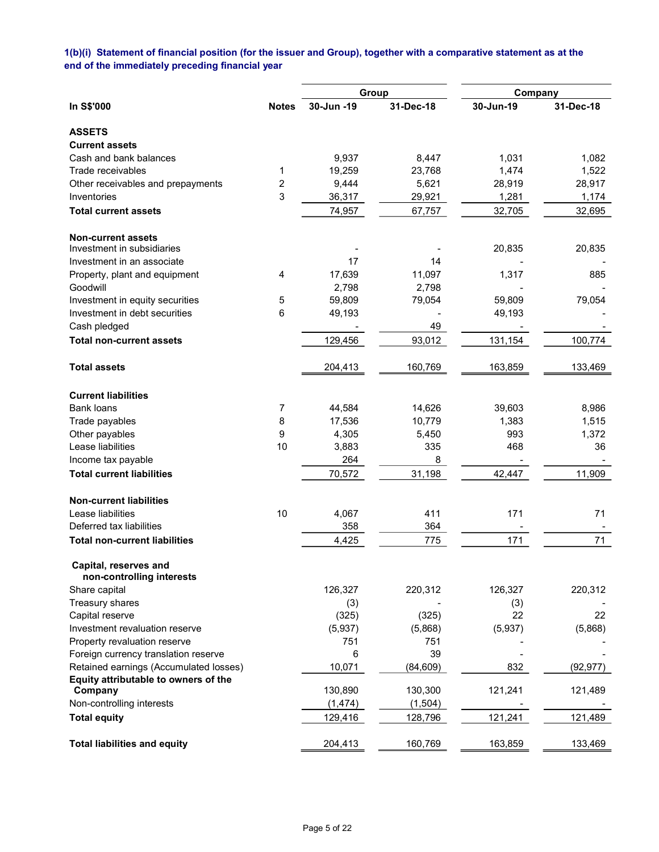# 1(b)(i) Statement of financial position (for the issuer and Group), together with a comparative statement as at the end of the immediately preceding financial year

|                                                    |                |            | Group     | Company   |           |
|----------------------------------------------------|----------------|------------|-----------|-----------|-----------|
| In S\$'000                                         | <b>Notes</b>   | 30-Jun -19 | 31-Dec-18 | 30-Jun-19 | 31-Dec-18 |
| <b>ASSETS</b>                                      |                |            |           |           |           |
| <b>Current assets</b>                              |                |            |           |           |           |
| Cash and bank balances                             |                | 9,937      | 8,447     | 1,031     | 1,082     |
| Trade receivables                                  | 1              | 19,259     | 23,768    | 1,474     | 1,522     |
| Other receivables and prepayments                  | $\overline{c}$ | 9,444      | 5,621     | 28,919    | 28,917    |
| Inventories                                        | 3              | 36,317     | 29,921    | 1,281     | 1,174     |
| <b>Total current assets</b>                        |                | 74,957     | 67,757    | 32,705    | 32,695    |
| <b>Non-current assets</b>                          |                |            |           |           |           |
| Investment in subsidiaries                         |                |            |           | 20,835    | 20,835    |
| Investment in an associate                         |                | 17         | 14        |           |           |
| Property, plant and equipment                      | 4              | 17,639     | 11,097    | 1,317     | 885       |
| Goodwill                                           |                | 2,798      | 2,798     |           |           |
| Investment in equity securities                    | 5              | 59,809     | 79,054    | 59,809    | 79,054    |
| Investment in debt securities                      | 6              | 49,193     |           | 49,193    |           |
| Cash pledged                                       |                |            | 49        |           |           |
| <b>Total non-current assets</b>                    |                | 129,456    | 93,012    | 131,154   | 100,774   |
| <b>Total assets</b>                                |                | 204,413    | 160,769   | 163,859   | 133,469   |
| <b>Current liabilities</b>                         |                |            |           |           |           |
| <b>Bank loans</b>                                  | 7              | 44,584     | 14,626    | 39,603    | 8,986     |
| Trade payables                                     | 8              | 17,536     | 10,779    | 1,383     | 1,515     |
| Other payables                                     | 9              | 4,305      | 5,450     | 993       | 1,372     |
| Lease liabilities                                  | 10             | 3,883      | 335       | 468       | 36        |
| Income tax payable                                 |                | 264        | 8         |           |           |
| <b>Total current liabilities</b>                   |                | 70,572     | 31,198    | 42,447    | 11,909    |
| <b>Non-current liabilities</b>                     |                |            |           |           |           |
| Lease liabilities                                  | 10             | 4,067      | 411       | 171       | 71        |
| Deferred tax liabilities                           |                | 358        | 364       |           |           |
| <b>Total non-current liabilities</b>               |                | 4,425      | 775       | 171       | 71        |
| Capital, reserves and<br>non-controlling interests |                |            |           |           |           |
| Share capital                                      |                | 126,327    | 220,312   | 126,327   | 220,312   |
| Treasury shares                                    |                | (3)        |           | (3)       |           |
| Capital reserve                                    |                | (325)      | (325)     | 22        | 22        |
| Investment revaluation reserve                     |                | (5,937)    | (5,868)   | (5,937)   | (5,868)   |
| Property revaluation reserve                       |                | 751        | 751       |           |           |
| Foreign currency translation reserve               |                | 6          | 39        |           |           |
| Retained earnings (Accumulated losses)             |                | 10,071     | (84, 609) | 832       | (92, 977) |
| Equity attributable to owners of the               |                |            |           |           |           |
| Company                                            |                | 130,890    | 130,300   | 121,241   | 121,489   |
| Non-controlling interests                          |                | (1, 474)   | (1, 504)  |           |           |
| <b>Total equity</b>                                |                | 129,416    | 128,796   | 121,241   | 121,489   |
| <b>Total liabilities and equity</b>                |                | 204,413    | 160,769   | 163,859   | 133,469   |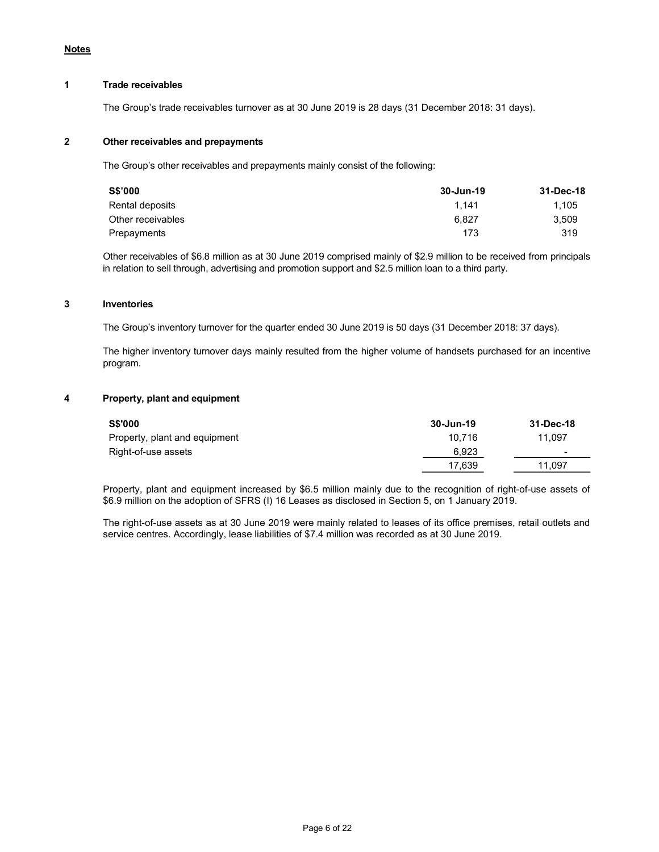# 1 Trade receivables

The Group's trade receivables turnover as at 30 June 2019 is 28 days (31 December 2018: 31 days).

# 2 Other receivables and prepayments

The Group's other receivables and prepayments mainly consist of the following:

| S\$'000           | 30-Jun-19 | 31-Dec-18 |
|-------------------|-----------|-----------|
| Rental deposits   | 1.141     | 1.105     |
| Other receivables | 6.827     | 3.509     |
| Prepayments       | 173       | 319       |

 Other receivables of \$6.8 million as at 30 June 2019 comprised mainly of \$2.9 million to be received from principals in relation to sell through, advertising and promotion support and \$2.5 million loan to a third party.

#### 3 Inventories

The Group's inventory turnover for the quarter ended 30 June 2019 is 50 days (31 December 2018: 37 days).

 The higher inventory turnover days mainly resulted from the higher volume of handsets purchased for an incentive program.

#### 4 Property, plant and equipment

| <b>S\$'000</b>                | 30-Jun-19 | 31-Dec-18 |
|-------------------------------|-----------|-----------|
| Property, plant and equipment | 10.716    | 11.097    |
| Right-of-use assets           | 6.923     |           |
|                               | 17.639    | 11.097    |

 Property, plant and equipment increased by \$6.5 million mainly due to the recognition of right-of-use assets of \$6.9 million on the adoption of SFRS (I) 16 Leases as disclosed in Section 5, on 1 January 2019.

 The right-of-use assets as at 30 June 2019 were mainly related to leases of its office premises, retail outlets and service centres. Accordingly, lease liabilities of \$7.4 million was recorded as at 30 June 2019.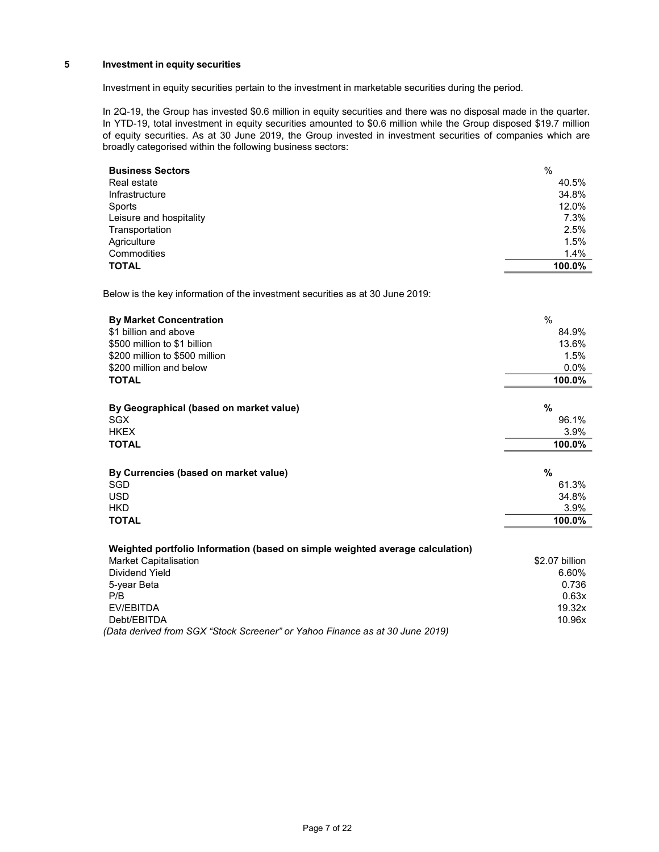# 5 Investment in equity securities

Investment in equity securities pertain to the investment in marketable securities during the period.

In 2Q-19, the Group has invested \$0.6 million in equity securities and there was no disposal made in the quarter. In YTD-19, total investment in equity securities amounted to \$0.6 million while the Group disposed \$19.7 million of equity securities. As at 30 June 2019, the Group invested in investment securities of companies which are broadly categorised within the following business sectors:

| <b>Business Sectors</b> | %      |
|-------------------------|--------|
| Real estate             | 40.5%  |
| Infrastructure          | 34.8%  |
| Sports                  | 12.0%  |
| Leisure and hospitality | 7.3%   |
| Transportation          | 2.5%   |
| Agriculture             | 1.5%   |
| Commodities             | 1.4%   |
| <b>TOTAL</b>            | 100.0% |

Below is the key information of the investment securities as at 30 June 2019:

| <b>By Market Concentration</b>                                                | $\frac{0}{0}$  |
|-------------------------------------------------------------------------------|----------------|
| \$1 billion and above                                                         | 84.9%          |
| \$500 million to \$1 billion                                                  | 13.6%          |
| \$200 million to \$500 million                                                | 1.5%           |
| \$200 million and below                                                       | 0.0%           |
| <b>TOTAL</b>                                                                  | 100.0%         |
|                                                                               |                |
| By Geographical (based on market value)                                       | %              |
| <b>SGX</b>                                                                    | 96.1%          |
| <b>HKEX</b>                                                                   | 3.9%           |
| <b>TOTAL</b>                                                                  | 100.0%         |
|                                                                               |                |
| By Currencies (based on market value)                                         | %              |
| SGD                                                                           | 61.3%          |
| <b>USD</b>                                                                    | 34.8%          |
| <b>HKD</b>                                                                    | 3.9%           |
| <b>TOTAL</b>                                                                  | 100.0%         |
|                                                                               |                |
| Weighted portfolio Information (based on simple weighted average calculation) |                |
| <b>Market Capitalisation</b>                                                  | \$2.07 billion |
| Dividend Yield                                                                | 6.60%          |
| 5-year Beta                                                                   | 0.736          |
| P/B                                                                           | 0.63x          |
| EV/EBITDA                                                                     | 19.32x         |
| Debt/EBITDA                                                                   | 10.96x         |
| (Data derived from SGX "Stock Screener" or Yahoo Finance as at 30 June 2019)  |                |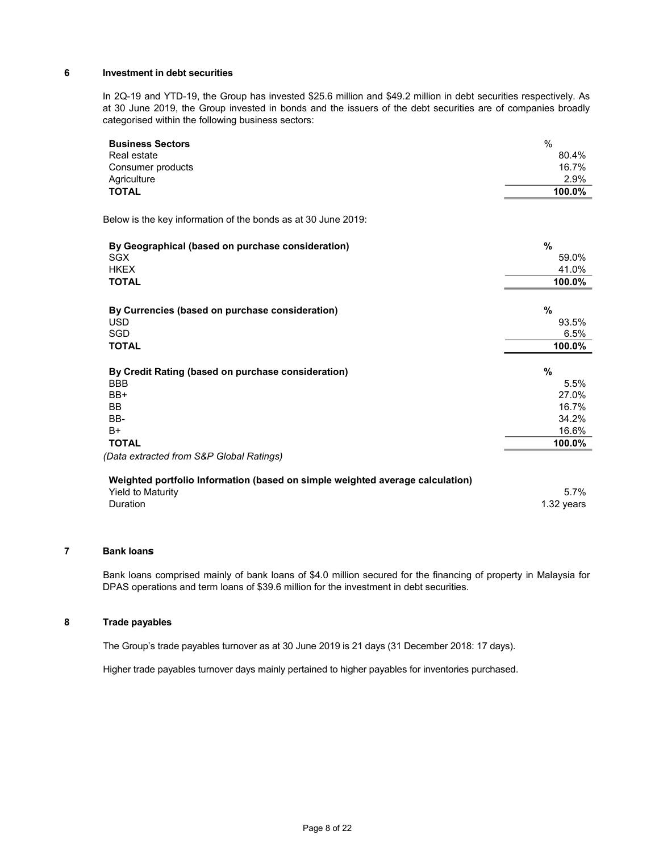# 6 Investment in debt securities

In 2Q-19 and YTD-19, the Group has invested \$25.6 million and \$49.2 million in debt securities respectively. As at 30 June 2019, the Group invested in bonds and the issuers of the debt securities are of companies broadly categorised within the following business sectors:

| <b>Business Sectors</b>                                                       | $\frac{0}{0}$ |
|-------------------------------------------------------------------------------|---------------|
| Real estate                                                                   | 80.4%         |
| Consumer products                                                             | 16.7%         |
| Agriculture                                                                   | 2.9%          |
| <b>TOTAL</b>                                                                  | 100.0%        |
| Below is the key information of the bonds as at 30 June 2019:                 |               |
| By Geographical (based on purchase consideration)                             | $\%$          |
| <b>SGX</b>                                                                    | 59.0%         |
| <b>HKEX</b>                                                                   | 41.0%         |
| <b>TOTAL</b>                                                                  | 100.0%        |
| By Currencies (based on purchase consideration)                               | $\%$          |
| <b>USD</b>                                                                    | 93.5%         |
| SGD                                                                           | 6.5%          |
| <b>TOTAL</b>                                                                  | 100.0%        |
| By Credit Rating (based on purchase consideration)                            | %             |
| <b>BBB</b>                                                                    | 5.5%          |
| BB+                                                                           | 27.0%         |
| <b>BB</b>                                                                     | 16.7%         |
| BB-                                                                           | 34.2%         |
| $B+$                                                                          | 16.6%         |
| <b>TOTAL</b>                                                                  | 100.0%        |
| (Data extracted from S&P Global Ratings)                                      |               |
| Weighted portfolio Information (based on simple weighted average calculation) |               |
| <b>Yield to Maturity</b>                                                      | 5.7%          |
| Duration                                                                      | 1.32 years    |
|                                                                               |               |

# 7 Bank loans

 Bank loans comprised mainly of bank loans of \$4.0 million secured for the financing of property in Malaysia for DPAS operations and term loans of \$39.6 million for the investment in debt securities.

### 8 Trade payables

The Group's trade payables turnover as at 30 June 2019 is 21 days (31 December 2018: 17 days).

Higher trade payables turnover days mainly pertained to higher payables for inventories purchased.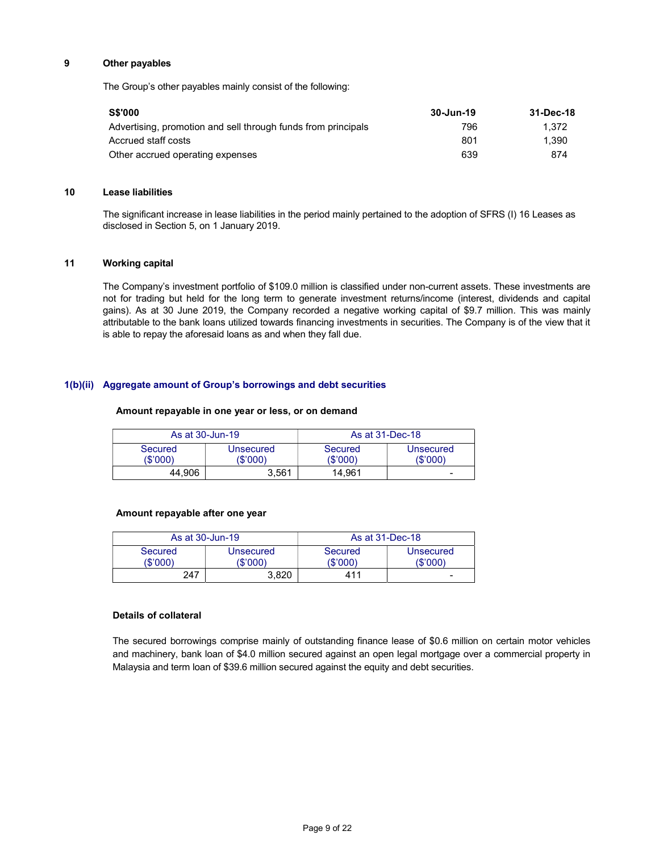## 9 Other payables

The Group's other payables mainly consist of the following:

| <b>S\$'000</b>                                                | 30-Jun-19 | 31-Dec-18 |
|---------------------------------------------------------------|-----------|-----------|
| Advertising, promotion and sell through funds from principals | 796       | 1.372     |
| Accrued staff costs                                           | 801       | 1.390     |
| Other accrued operating expenses                              | 639       | 874       |

#### 10 Lease liabilities

The significant increase in lease liabilities in the period mainly pertained to the adoption of SFRS (I) 16 Leases as disclosed in Section 5, on 1 January 2019.

## 11 Working capital

The Company's investment portfolio of \$109.0 million is classified under non-current assets. These investments are not for trading but held for the long term to generate investment returns/income (interest, dividends and capital gains). As at 30 June 2019, the Company recorded a negative working capital of \$9.7 million. This was mainly attributable to the bank loans utilized towards financing investments in securities. The Company is of the view that it is able to repay the aforesaid loans as and when they fall due.

### 1(b)(ii) Aggregate amount of Group's borrowings and debt securities

#### Amount repayable in one year or less, or on demand

|                     | As at 30-Jun-19       | As at 31-Dec-18     |                       |  |  |  |
|---------------------|-----------------------|---------------------|-----------------------|--|--|--|
| Secured<br>(\$'000) | Unsecured<br>(\$'000) | Secured<br>(\$'000) | Unsecured<br>(\$'000) |  |  |  |
| 44.906              | 3.561                 | 14.961              | -                     |  |  |  |

#### Amount repayable after one year

|                     | As at 30-Jun-19       | As at 31-Dec-18     |                       |  |  |
|---------------------|-----------------------|---------------------|-----------------------|--|--|
| Secured<br>(\$'000' | Unsecured<br>(\$'000) | Secured<br>(\$'000' | Unsecured<br>(\$'000' |  |  |
| 247                 | 3.820                 | 411                 | -                     |  |  |

## Details of collateral

The secured borrowings comprise mainly of outstanding finance lease of \$0.6 million on certain motor vehicles and machinery, bank loan of \$4.0 million secured against an open legal mortgage over a commercial property in Malaysia and term loan of \$39.6 million secured against the equity and debt securities.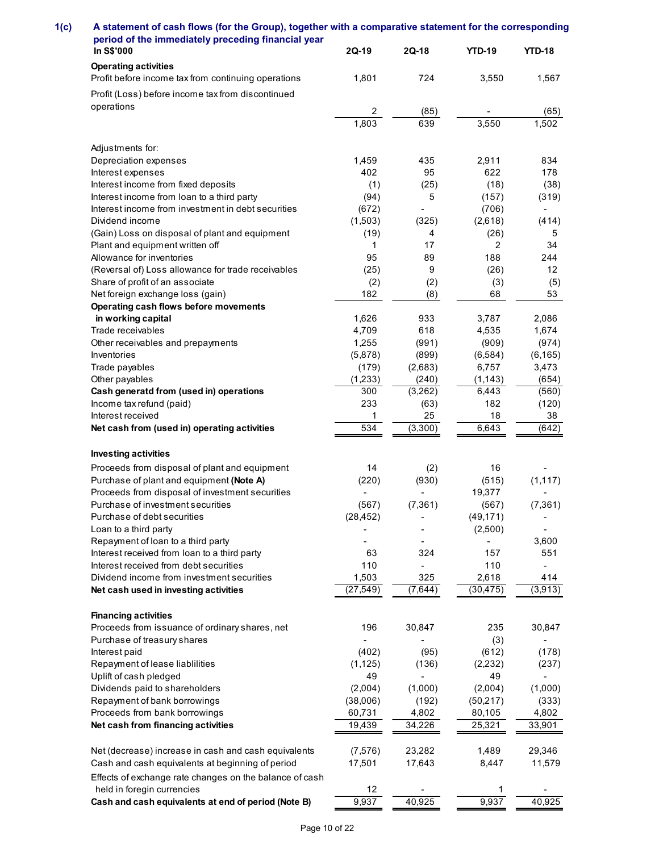| A statement of cash flows (for the Group), together with a comparative statement for the corresponding<br>period of the immediately preceding financial year |                    |                          |                      |                |
|--------------------------------------------------------------------------------------------------------------------------------------------------------------|--------------------|--------------------------|----------------------|----------------|
|                                                                                                                                                              |                    |                          |                      |                |
|                                                                                                                                                              |                    |                          |                      |                |
|                                                                                                                                                              |                    |                          |                      |                |
|                                                                                                                                                              |                    |                          |                      |                |
|                                                                                                                                                              |                    |                          |                      |                |
|                                                                                                                                                              |                    |                          |                      |                |
|                                                                                                                                                              |                    |                          |                      |                |
|                                                                                                                                                              |                    |                          |                      |                |
|                                                                                                                                                              |                    |                          |                      |                |
| In S\$'000                                                                                                                                                   | 2Q-19              | $2Q-18$                  | <b>YTD-19</b>        | <b>YTD-18</b>  |
| <b>Operating activities</b><br>Profit before income tax from continuing operations                                                                           | 1,801              | 724                      | 3,550                | 1,567          |
|                                                                                                                                                              |                    |                          |                      |                |
| Profit (Loss) before income tax from discontinued<br>operations                                                                                              |                    |                          |                      |                |
|                                                                                                                                                              | $\overline{c}$     | (85)                     |                      | (65)           |
|                                                                                                                                                              | 1,803              | 639                      | 3,550                | 1,502          |
| Adjustments for:                                                                                                                                             |                    |                          |                      |                |
| Depreciation expenses                                                                                                                                        | 1,459              | 435                      | 2,911                | 834            |
| Interest expenses                                                                                                                                            | 402                | 95                       | 622                  | 178            |
| Interest income from fixed deposits                                                                                                                          | (1)                | (25)                     | (18)                 | (38)           |
| Interest income from loan to a third party                                                                                                                   | (94)               | 5                        | (157)                | (319)          |
| Interest income from investment in debt securities<br>Dividend income                                                                                        | (672)              | $\sim$                   | (706)                | $\sim$         |
| (Gain) Loss on disposal of plant and equipment                                                                                                               | (1,503)<br>(19)    | (325)<br>4               | (2,618)<br>(26)      | (414)<br>5     |
| Plant and equipment written off                                                                                                                              | -1                 | 17                       | 2                    | 34             |
| Allowance for inventories                                                                                                                                    | 95                 | 89                       | 188                  | 244            |
| (Reversal of) Loss allowance for trade receivables                                                                                                           | (25)               | 9                        | (26)                 | 12             |
| Share of profit of an associate                                                                                                                              | (2)                | (2)                      | (3)                  | (5)            |
| Net foreign exchange loss (gain)                                                                                                                             | 182                | (8)                      | 68                   | 53             |
| Operating cash flows before movements<br>in working capital                                                                                                  | 1,626              | 933                      | 3,787                | 2,086          |
| Trade receivables                                                                                                                                            | 4,709              | 618                      | 4,535                | 1,674          |
| Other receivables and prepayments                                                                                                                            | 1,255              | (991)                    | (909)                | (974)          |
| Inventories                                                                                                                                                  | (5,878)            | (899)                    | (6, 584)             | (6, 165)       |
| Trade payables                                                                                                                                               | (179)              | (2,683)                  | 6,757                | 3,473          |
| Other payables                                                                                                                                               | (1, 233)           | (240)                    | (1, 143)             | (654)          |
| Cash generatd from (used in) operations                                                                                                                      | 300                | (3,262)                  | 6,443                | (560)          |
| Income tax refund (paid)<br>Interest received                                                                                                                | 233<br>-1          | (63)<br>25               | 182<br>18            | (120)<br>38    |
| Net cash from (used in) operating activities                                                                                                                 | 534                | (3,300)                  | 6,643                | (642)          |
|                                                                                                                                                              |                    |                          |                      |                |
| Investing activities                                                                                                                                         |                    |                          |                      |                |
| Proceeds from disposal of plant and equipment                                                                                                                | 14                 | (2)                      | 16                   |                |
| Purchase of plant and equipment (Note A)                                                                                                                     | (220)              | (930)                    | (515)                | (1, 117)       |
| Proceeds from disposal of investment securities                                                                                                              |                    |                          | 19,377               |                |
| Purchase of investment securities<br>Purchase of debt securities                                                                                             | (567)              | (7, 361)                 | (567)                | (7, 361)       |
| Loan to a third party                                                                                                                                        | (28, 452)          |                          | (49, 171)<br>(2,500) | $\sim$         |
| Repayment of loan to a third party                                                                                                                           |                    | $\overline{\phantom{a}}$ |                      | 3,600          |
| Interest received from loan to a third party                                                                                                                 | 63                 | 324                      | 157                  | 551            |
| Interest received from debt securities                                                                                                                       | 110                | $\sim$                   | 110                  |                |
| Dividend income from investment securities                                                                                                                   | 1,503              | 325                      | 2,618                | 414            |
| Net cash used in investing activities                                                                                                                        | (27, 549)          | (7,644)                  | (30, 475)            | (3,913)        |
|                                                                                                                                                              |                    |                          |                      |                |
| <b>Financing activities</b><br>Proceeds from issuance of ordinary shares, net                                                                                | 196                | 30,847                   | 235                  | 30,847         |
| Purchase of treasury shares                                                                                                                                  |                    |                          | (3)                  |                |
| Interest paid                                                                                                                                                | (402)              | (95)                     | (612)                | (178)          |
| Repayment of lease liablilities                                                                                                                              | (1, 125)           | (136)                    | (2, 232)             | (237)          |
| Uplift of cash pledged                                                                                                                                       | 49                 |                          | 49                   |                |
| Dividends paid to shareholders                                                                                                                               | (2,004)            | (1,000)                  | (2,004)              | (1,000)        |
| Repayment of bank borrowings<br>Proceeds from bank borrowings                                                                                                | (38,006)<br>60,731 | (192)<br>4,802           | (50, 217)<br>80,105  | (333)<br>4,802 |
| Net cash from financing activities                                                                                                                           | 19,439             | 34,226                   | 25,321               | 33,901         |
|                                                                                                                                                              |                    |                          |                      |                |
| Net (decrease) increase in cash and cash equivalents                                                                                                         | (7,576)            | 23,282                   | 1,489                | 29,346         |
| Cash and cash equivalents at beginning of period                                                                                                             | 17,501             | 17,643                   | 8,447                | 11,579         |
| Effects of exchange rate changes on the balance of cash                                                                                                      |                    |                          |                      |                |
| held in foregin currencies<br>Cash and cash equivalents at end of period (Note B)                                                                            | 12<br>9,937        |                          | -1                   |                |
|                                                                                                                                                              |                    | 40,925                   | 9,937                | 40,925         |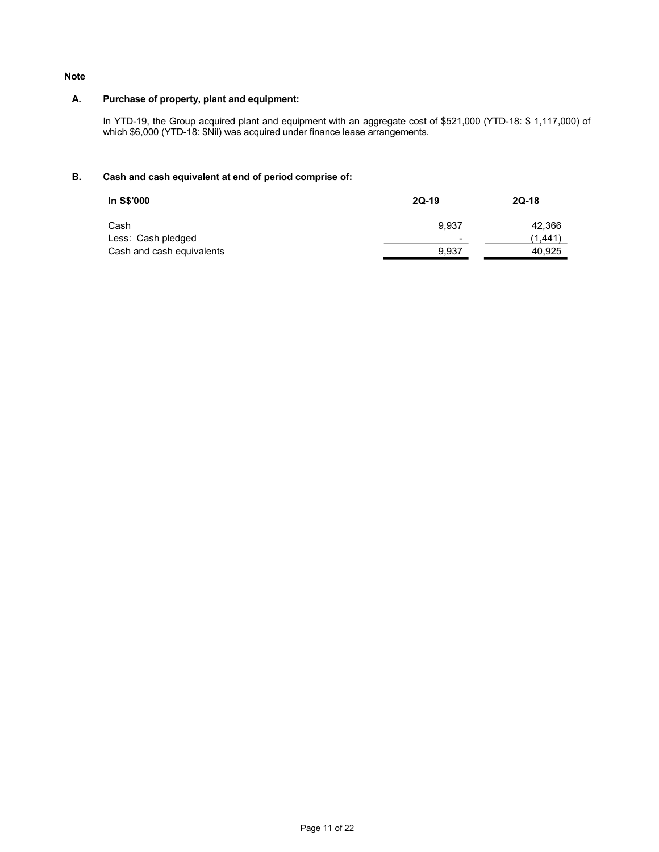### Note

# A. Purchase of property, plant and equipment:

In YTD-19, the Group acquired plant and equipment with an aggregate cost of \$521,000 (YTD-18: \$ 1,117,000) of which \$6,000 (YTD-18: \$Nil) was acquired under finance lease arrangements.

# B. Cash and cash equivalent at end of period comprise of:

| In S\$'000                | $2Q-19$ | $2Q-18$ |
|---------------------------|---------|---------|
| Cash                      | 9.937   | 42,366  |
| Less: Cash pledged        | -       | (1.441) |
| Cash and cash equivalents | 9,937   | 40,925  |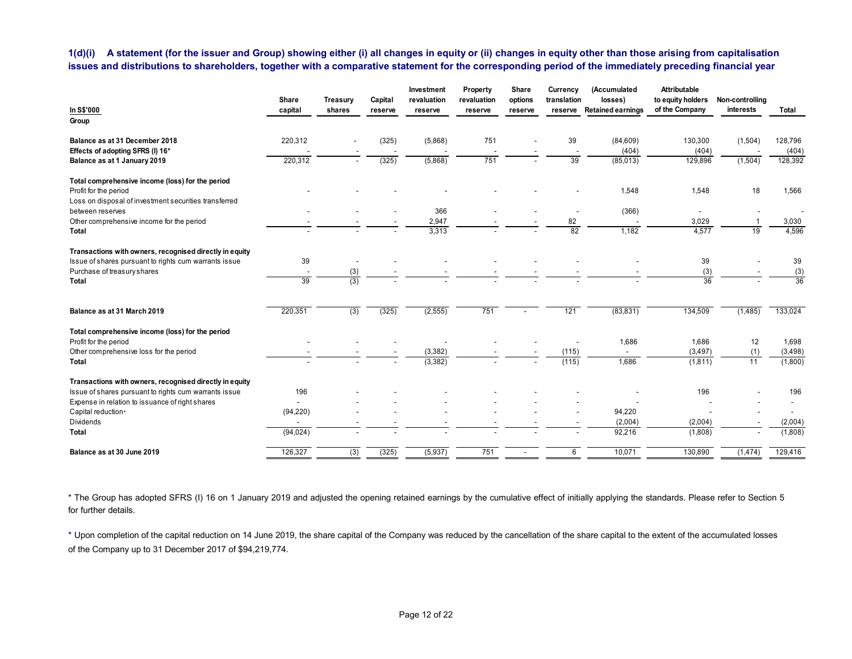| issues and distributions to shareholders, together with a comparative statement for the corresponding period of the immediately preceding financial year |                     |          |                          |                           |                          |                  |                          |                                    | A statement (for the issuer and Group) showing either (i) all changes in equity or (ii) changes in equity other than those arising from capitalisation |                          |                          |
|----------------------------------------------------------------------------------------------------------------------------------------------------------|---------------------|----------|--------------------------|---------------------------|--------------------------|------------------|--------------------------|------------------------------------|--------------------------------------------------------------------------------------------------------------------------------------------------------|--------------------------|--------------------------|
|                                                                                                                                                          | Share               | Treasury | Capital                  | Investment<br>revaluation | Property<br>revaluation  | Share<br>options | Currency<br>translation  | (Accumulated<br>losses)            | <b>Attributable</b><br>to equity holders Non-controlling                                                                                               |                          |                          |
| In S\$'000<br>Group                                                                                                                                      | capital             | shares   | reserve                  | reserve                   | reserve                  | reserve          | reserve                  | <b>Retained earnings</b>           | of the Company                                                                                                                                         | interests                | Total                    |
| Balance as at 31 December 2018<br>Effects of adopting SFRS (I) 16*                                                                                       | 220,312             |          | (325)                    | (5,868)                   | 751                      |                  | 39<br>39                 | (84, 609)<br>(404)                 | 130,300<br>(404)                                                                                                                                       | (1,504)                  | 128,796<br>(404)         |
| Balance as at 1 January 2019                                                                                                                             | 220,312             |          | (325)                    | (5,868)                   | 751                      |                  |                          | (85,013)                           | 129,896                                                                                                                                                | (1,504)                  | 128,392                  |
| Total comprehensive income (loss) for the period<br>Profit for the period<br>Loss on disposal of investment securities transferred                       |                     |          |                          |                           |                          |                  |                          | 1,548                              | 1,548                                                                                                                                                  | 18                       | 1,566                    |
| between reserves                                                                                                                                         |                     |          |                          | 366                       |                          |                  | $\overline{\phantom{a}}$ | (366)                              | $\sim$                                                                                                                                                 | $\overline{\phantom{a}}$ | $\overline{\phantom{a}}$ |
| Other comprehensive income for the period<br>Total                                                                                                       |                     |          |                          | 2,947<br>3,313            |                          |                  | 82<br>82                 | 1,182                              | 3,029<br>4,577                                                                                                                                         | 19                       | 3,030<br>4,596           |
| Transactions with owners, recognised directly in equity<br>Issue of shares pursuant to rights cum warrants issue                                         | 39                  | $\sim$   |                          | $\overline{\phantom{a}}$  |                          |                  |                          | $\overline{\phantom{a}}$           | 39                                                                                                                                                     |                          | 39                       |
| Purchase of treasury shares                                                                                                                              | $\sim$              | (3)      |                          |                           |                          |                  |                          |                                    | (3)                                                                                                                                                    |                          | (3)                      |
| Total                                                                                                                                                    | 39                  | (3)      |                          |                           |                          |                  |                          |                                    | 36                                                                                                                                                     |                          | 36                       |
| Balance as at 31 March 2019                                                                                                                              | 220,351             | (3)      | (325)                    | (2, 555)                  | 751                      |                  | 121                      | (83, 831)                          | 134,509                                                                                                                                                | (1,485)                  | 133,024                  |
| Total comprehensive income (loss) for the period<br>Profit for the period                                                                                | $\sim$              | $\sim$   | $\sim$                   | $\sim$                    | $\overline{\phantom{a}}$ |                  | $\sim$                   | 1,686                              | 1,686                                                                                                                                                  | 12                       | 1,698                    |
| Other comprehensive loss for the period                                                                                                                  |                     |          | $\overline{\phantom{a}}$ | (3, 382)                  |                          |                  | (115)                    | $\sim$                             | (3, 497)                                                                                                                                               | (1)                      | (3, 498)                 |
| Total                                                                                                                                                    |                     |          |                          | (3, 382)                  |                          |                  | (115)                    | 1,686                              | (1, 811)                                                                                                                                               | 11                       | (1,800)                  |
| Transactions with owners, recognised directly in equity<br>Issue of shares pursuant to rights cum warrants issue                                         | 196                 |          |                          |                           |                          |                  |                          | $\overline{\phantom{a}}$           | 196                                                                                                                                                    |                          | 196                      |
| Expense in relation to issuance of right shares<br>Capital reduction+                                                                                    | $\sim$<br>(94, 220) |          |                          |                           |                          |                  |                          | $\overline{\phantom{a}}$<br>94,220 | $\sim$                                                                                                                                                 | $\overline{\phantom{a}}$ | $\sim$<br>$\sim$         |
| Dividends                                                                                                                                                | $\sim$<br>(94, 024) |          |                          |                           |                          |                  |                          | (2,004)<br>92,216                  | (2,004)<br>(1,808)                                                                                                                                     | $\overline{\phantom{a}}$ | (2,004)<br>(1,808)       |
|                                                                                                                                                          |                     |          |                          |                           | 751                      |                  | 6                        | 10,071                             | 130,890                                                                                                                                                |                          |                          |
| Total<br>Balance as at 30 June 2019                                                                                                                      | 126,327             | (3)      | (325)                    | (5, 937)                  |                          | $\sim$           |                          |                                    |                                                                                                                                                        | (1,474)                  | 129,416                  |

\* The Group has adopted SFRS (I) 16 on 1 January 2019 and adjusted the opening retained earnings by the cumulative effect of initially applying the standards. Please refer to Section 5 for further details.

⁺ Upon completion of the capital reduction on 14 June 2019, the share capital of the Company was reduced by the cancellation of the share capital to the extent of the accumulated losses of the Company up to 31 December 2017 of \$94,219,774.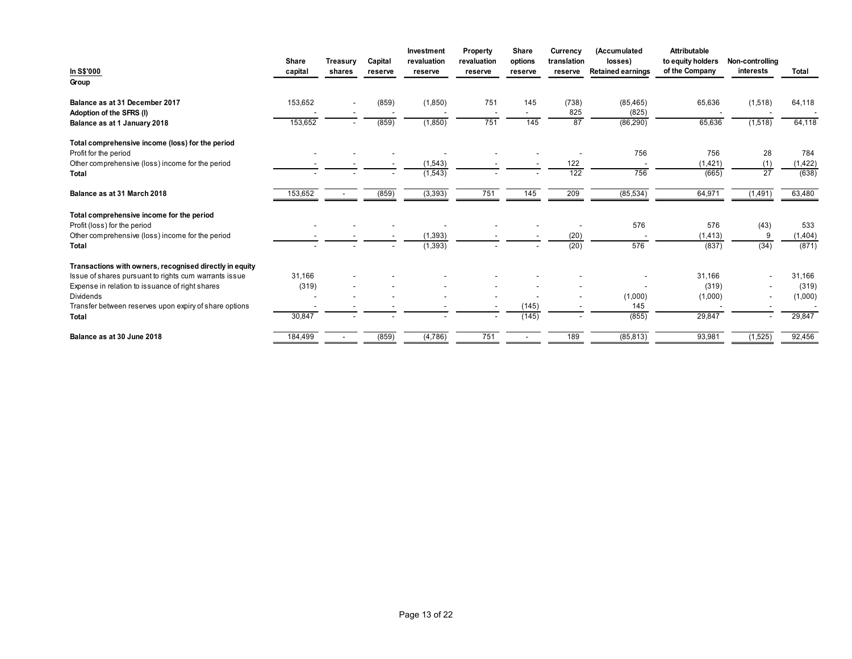|                                                                           |                          |                                                      |                                                      | Investment                           | Property                        | Share                             | Currency     | (Accumulated             | Attributable                                        |                                                      |                   |
|---------------------------------------------------------------------------|--------------------------|------------------------------------------------------|------------------------------------------------------|--------------------------------------|---------------------------------|-----------------------------------|--------------|--------------------------|-----------------------------------------------------|------------------------------------------------------|-------------------|
| In S\$'000                                                                | Share                    | Treasury                                             | Capital                                              | revaluation                          | revaluation                     | options                           | translation  | losses)                  | to equity holders Non-controlling<br>of the Company |                                                      |                   |
| Group                                                                     | capital                  | shares                                               | reserve                                              | reserve                              | reserve                         | reserve                           | reserve      | <b>Retained earnings</b> |                                                     | interests                                            | Total             |
|                                                                           |                          |                                                      |                                                      |                                      |                                 |                                   |              |                          |                                                     |                                                      |                   |
| Balance as at 31 December 2017<br>Adoption of the SFRS (I)                | 153,652                  | $\overline{\phantom{a}}$<br>$\overline{\phantom{a}}$ | (859)<br>$\overline{\phantom{a}}$                    | (1, 850)<br>$\overline{\phantom{a}}$ | 751<br>$\overline{\phantom{a}}$ | 145<br>$\sim$                     | (738)<br>825 | (85, 465)<br>(825)       | 65,636                                              | (1,518)                                              | 64,118<br>$\sim$  |
|                                                                           | 153,652                  | $\overline{\phantom{a}}$                             | (859)                                                | (1,850)                              | 751                             | 145                               | 87           | (86, 290)                | 65,636                                              | (1,518)                                              | 64,118            |
| Balance as at 1 January 2018                                              |                          |                                                      |                                                      |                                      |                                 |                                   |              |                          |                                                     |                                                      |                   |
|                                                                           |                          |                                                      |                                                      |                                      |                                 |                                   |              |                          |                                                     |                                                      |                   |
| Total comprehensive income (loss) for the period<br>Profit for the period |                          |                                                      | $\overline{\phantom{a}}$                             | $\overline{\phantom{a}}$             | $\overline{\phantom{a}}$        |                                   | $\sim$       | 756                      | 756                                                 | 28                                                   | 784               |
| Other comprehensive (loss) income for the period                          |                          | $\overline{\phantom{a}}$                             | $\overline{\phantom{a}}$                             | (1, 543)                             | $\overline{\phantom{a}}$        |                                   | 122          | $\sim$                   | (1,421)                                             | (1)                                                  | (1, 422)          |
| Total                                                                     | $\overline{\phantom{a}}$ | $\overline{\phantom{a}}$                             |                                                      | (1,543)                              |                                 |                                   | 122          | 756                      | (665)                                               | 27                                                   | (638)             |
| Balance as at 31 March 2018                                               | 153,652                  | $\sim$                                               | (859)                                                | (3, 393)                             | 751                             | 145                               | 209          | (85, 534)                | 64,971                                              | (1,491)                                              | 63,480            |
|                                                                           |                          |                                                      |                                                      |                                      |                                 |                                   |              |                          |                                                     |                                                      |                   |
| Total comprehensive income for the period<br>Profit (loss) for the period |                          |                                                      | $\overline{\phantom{a}}$                             | $\overline{\phantom{a}}$             |                                 |                                   | $\sim$       | 576                      | 576                                                 | (43)                                                 | 533               |
| Other comprehensive (loss) income for the period                          |                          |                                                      |                                                      | (1, 393)                             |                                 |                                   | (20)         | . .                      | (1, 413)                                            | - 9                                                  | (1, 404)          |
| Total                                                                     |                          | $\overline{\phantom{a}}$                             | $\sim$                                               | (1, 393)                             |                                 |                                   | (20)         | 576                      | (837)                                               | (34)                                                 | (871)             |
| Transactions with owners, recognised directly in equity                   |                          |                                                      |                                                      |                                      |                                 |                                   |              |                          |                                                     |                                                      |                   |
| Issue of shares pursuant to rights cum warrants issue                     | 31,166                   |                                                      |                                                      |                                      |                                 |                                   |              | $\overline{\phantom{a}}$ | 31,166                                              |                                                      | 31,166            |
| Expense in relation to issuance of right shares                           | (319)                    |                                                      |                                                      |                                      |                                 |                                   |              | $\sim$                   | (319)                                               | Ξ.                                                   | (319)             |
| Dividends<br>Transfer between reserves upon expiry of share options       | $\sim$<br>$\sim$         | $\overline{\phantom{a}}$                             | $\overline{\phantom{a}}$<br>$\overline{\phantom{a}}$ | $\overline{\phantom{a}}$             | $\overline{\phantom{a}}$        | $\overline{\phantom{a}}$<br>(145) |              | (1,000)<br>145           | (1,000)<br>$\overline{\phantom{a}}$                 | $\overline{\phantom{a}}$<br>$\overline{\phantom{a}}$ | (1,000)<br>$\sim$ |
| Total                                                                     | 30,847                   |                                                      |                                                      |                                      |                                 | (145)                             |              | (855)                    | 29,847                                              | $\sim$                                               | 29,847            |
| Balance as at 30 June 2018                                                | 184,499                  | $\sim$                                               | (859)                                                | (4,786)                              | 751                             | $\sim$                            | 189          | (85, 813)                | 93,981                                              | (1,525)                                              | 92,456            |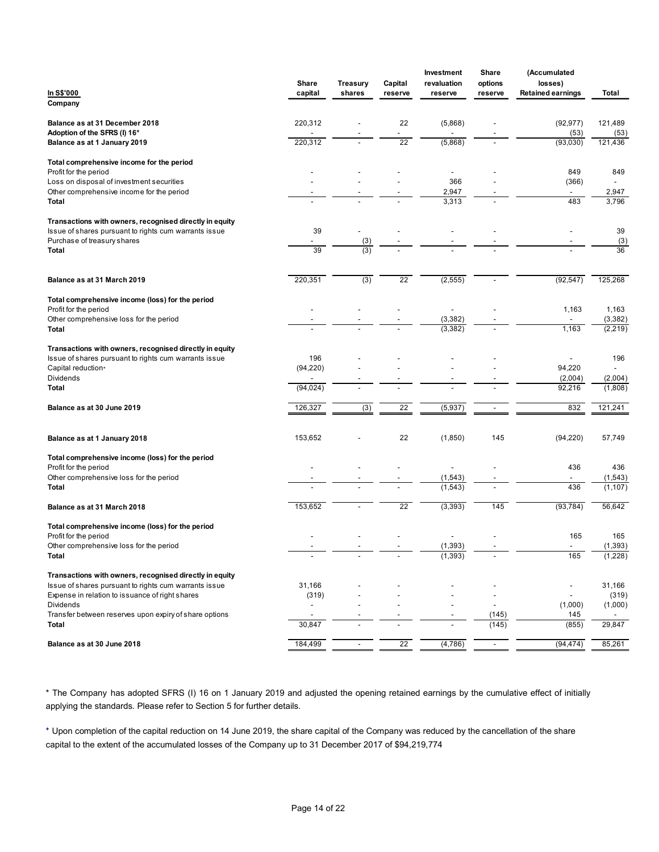|                                                                                                                  | Share                    | Treasury | Capital                  | Investment<br>revaluation | Share<br>options         | (Accumulated<br>losses)           |                     |
|------------------------------------------------------------------------------------------------------------------|--------------------------|----------|--------------------------|---------------------------|--------------------------|-----------------------------------|---------------------|
| In S\$'000<br>Company                                                                                            | capital                  | shares   | reserve                  | reserve                   | reserve                  | <b>Retained earnings</b>          | Total               |
|                                                                                                                  |                          |          |                          |                           |                          |                                   |                     |
| Balance as at 31 December 2018<br>Adoption of the SFRS (I) 16*                                                   | 220,312                  |          | 22<br>$\sim$             | (5,868)<br>$\sim$         |                          | (92, 977)<br>(53)                 | 121,489<br>(53)     |
| Balance as at 1 January 2019                                                                                     | 220,312                  |          | $\overline{22}$          | (5,868)                   | $\overline{\phantom{a}}$ | (93,030)                          | 121,436             |
| Total comprehensive income for the period<br>Profit for the period                                               |                          |          |                          | $\overline{\phantom{a}}$  |                          | 849                               | 849                 |
| Loss on disposal of investment securities                                                                        |                          |          |                          | 366                       |                          | (366)                             | $\sim$              |
| Other comprehensive income for the period<br>Total                                                               |                          |          |                          | 2,947<br>3,313            |                          | $\sim$<br>483                     | 2,947<br>3,796      |
| Transactions with owners, recognised directly in equity                                                          |                          |          |                          |                           |                          |                                   |                     |
| Issue of shares pursuant to rights cum warrants issue<br>Purchase of treasury shares                             | 39<br>$\sim$             | (3)      |                          |                           |                          |                                   | 39<br>(3)           |
| Total                                                                                                            | 39                       | (3)      |                          |                           |                          |                                   | 36                  |
|                                                                                                                  |                          |          |                          |                           |                          |                                   |                     |
| Balance as at 31 March 2019                                                                                      | 220,351                  | (3)      | 22                       | (2, 555)                  |                          | (92, 547)                         | 125,268             |
| Total comprehensive income (loss) for the period<br>Profit for the period                                        | $\overline{\phantom{a}}$ |          |                          | $\overline{\phantom{a}}$  |                          | 1,163                             | 1,163               |
| Other comprehensive loss for the period<br>Total                                                                 |                          |          |                          | (3, 382)<br>(3, 382)      |                          | $\overline{\phantom{a}}$<br>1,163 | (3, 382)            |
|                                                                                                                  |                          |          |                          |                           |                          |                                   | (2, 219)            |
| Transactions with owners, recognised directly in equity<br>Issue of shares pursuant to rights cum warrants issue | 196                      |          |                          |                           |                          | $\overline{\phantom{a}}$          | 196                 |
| Capital reduction+<br>Dividends                                                                                  | (94, 220)                |          |                          |                           |                          | 94,220<br>(2,004)                 | $\sim$<br>(2,004)   |
| Total                                                                                                            | (94, 024)                |          |                          |                           |                          | 92,216                            | (1,808)             |
| Balance as at 30 June 2019                                                                                       | 126,327                  | (3)      | 22                       | (5, 937)                  | $\sim$                   | 832                               | 121,241             |
|                                                                                                                  |                          |          |                          |                           |                          |                                   |                     |
| Balance as at 1 January 2018                                                                                     | 153,652                  |          | 22                       | (1,850)                   | 145                      | (94, 220)                         | 57,749              |
| Total comprehensive income (loss) for the period<br>Profit for the period                                        |                          |          | $\overline{\phantom{a}}$ | $\overline{\phantom{a}}$  |                          | 436                               | 436                 |
| Other comprehensive loss for the period                                                                          |                          |          | $\overline{\phantom{a}}$ | (1, 543)                  |                          | $\sim$                            | (1,543)             |
| Total                                                                                                            |                          |          | $\blacksquare$           | (1, 543)                  | $\overline{\phantom{a}}$ | 436                               | (1, 107)            |
| Balance as at 31 March 2018                                                                                      | 153,652                  |          | $\overline{22}$          | (3, 393)                  | 145                      | (93, 784)                         | 56,642              |
| Total comprehensive income (loss) for the period<br>Profit for the period                                        |                          |          |                          | $\sim$                    |                          | 165                               | 165                 |
| Other comprehensive loss for the period<br>Total                                                                 |                          |          |                          | (1, 393)<br>(1, 393)      | $\blacksquare$           | $\sim$<br>165                     | (1, 393)<br>(1,228) |
|                                                                                                                  |                          |          |                          |                           |                          |                                   |                     |
| Transactions with owners, recognised directly in equity<br>Issue of shares pursuant to rights cum warrants issue | 31,166                   |          |                          |                           |                          | $\overline{\phantom{a}}$          | 31,166              |
| Expense in relation to issuance of right shares<br>Dividends                                                     | (319)<br>$\sim$          |          | $\overline{\phantom{a}}$ | $\overline{\phantom{a}}$  | $\blacksquare$<br>$\sim$ | $\sim$<br>(1,000)                 | (319)<br>(1,000)    |
| Transfer between reserves upon expiry of share options                                                           | $\overline{a}$           |          | $\overline{\phantom{a}}$ | $\overline{\phantom{a}}$  | (145)                    | 145                               | $\sim$              |
| <b>Total</b>                                                                                                     | 30,847                   |          | $\overline{\phantom{a}}$ | $\overline{\phantom{a}}$  | (145)                    | (855)                             | 29,847              |
| Balance as at 30 June 2018                                                                                       | 184,499                  | $\sim$   | 22                       | (4,786)                   | $\sim$                   | (94, 474)                         | 85,261              |

\* The Company has adopted SFRS (I) 16 on 1 January 2019 and adjusted the opening retained earnings by the cumulative effect of initially applying the standards. Please refer to Section 5 for further details.

⁺ Upon completion of the capital reduction on 14 June 2019, the share capital of the Company was reduced by the cancellation of the share capital to the extent of the accumulated losses of the Company up to 31 December 2017 of \$94,219,774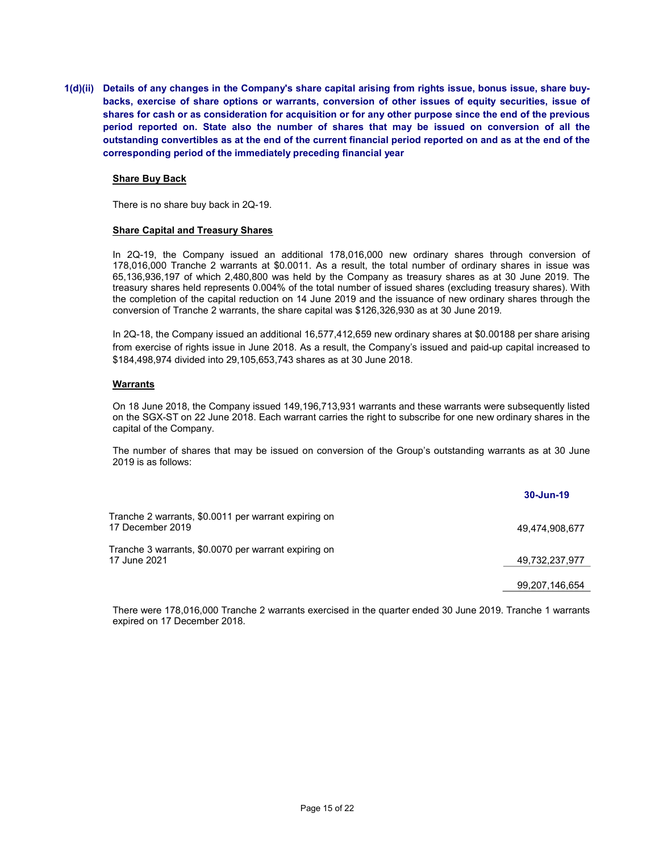1(d)(ii) Details of any changes in the Company's share capital arising from rights issue, bonus issue, share buybacks, exercise of share options or warrants, conversion of other issues of equity securities, issue of shares for cash or as consideration for acquisition or for any other purpose since the end of the previous period reported on. State also the number of shares that may be issued on conversion of all the outstanding convertibles as at the end of the current financial period reported on and as at the end of the corresponding period of the immediately preceding financial year

#### Share Buy Back

There is no share buy back in 2Q-19.

#### Share Capital and Treasury Shares

In 2Q-19, the Company issued an additional 178,016,000 new ordinary shares through conversion of 178,016,000 Tranche 2 warrants at \$0.0011. As a result, the total number of ordinary shares in issue was 65,136,936,197 of which 2,480,800 was held by the Company as treasury shares as at 30 June 2019. The treasury shares held represents 0.004% of the total number of issued shares (excluding treasury shares). With the completion of the capital reduction on 14 June 2019 and the issuance of new ordinary shares through the conversion of Tranche 2 warrants, the share capital was \$126,326,930 as at 30 June 2019.

In 2Q-18, the Company issued an additional 16,577,412,659 new ordinary shares at \$0.00188 per share arising from exercise of rights issue in June 2018. As a result, the Company's issued and paid-up capital increased to \$184,498,974 divided into 29,105,653,743 shares as at 30 June 2018.

#### **Warrants**

On 18 June 2018, the Company issued 149,196,713,931 warrants and these warrants were subsequently listed on the SGX-ST on 22 June 2018. Each warrant carries the right to subscribe for one new ordinary shares in the capital of the Company.

The number of shares that may be issued on conversion of the Group's outstanding warrants as at 30 June 2019 is as follows:

|                                                                          | 30-Jun-19      |
|--------------------------------------------------------------------------|----------------|
| Tranche 2 warrants, \$0.0011 per warrant expiring on<br>17 December 2019 | 49.474.908.677 |
| Tranche 3 warrants, \$0.0070 per warrant expiring on<br>17 June 2021     | 49,732,237,977 |
|                                                                          | 99,207,146,654 |

There were 178,016,000 Tranche 2 warrants exercised in the quarter ended 30 June 2019. Tranche 1 warrants expired on 17 December 2018.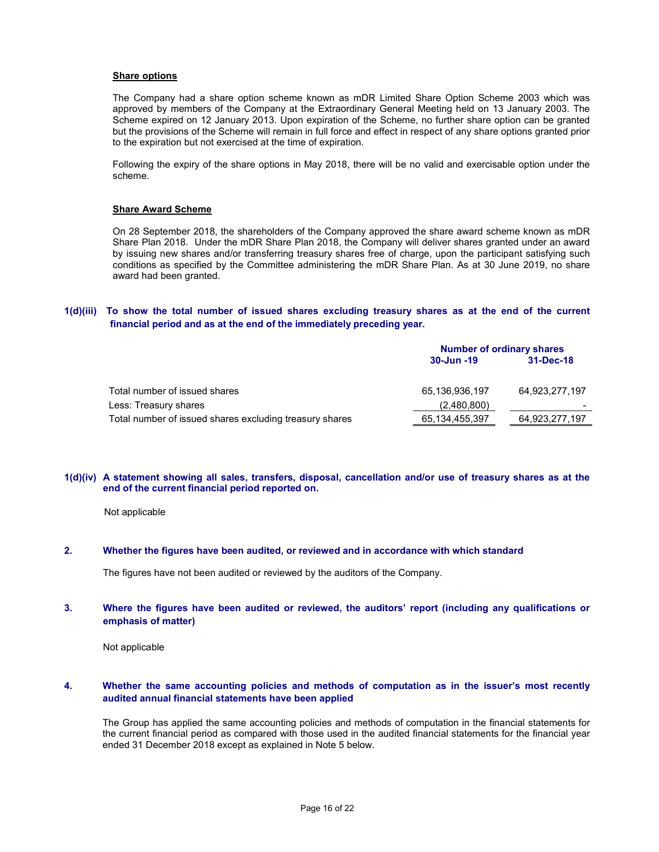#### **Share options**

The Company had a share option scheme known as mDR Limited Share Option Scheme 2003 which was approved by members of the Company at the Extraordinary General Meeting held on 13 January 2003. The Scheme expired on 12 January 2013. Upon expiration of the Scheme, no further share option can be granted but the provisions of the Scheme will remain in full force and effect in respect of any share options granted prior to the expiration but not exercised at the time of expiration.

Following the expiry of the share options in May 2018, there will be no valid and exercisable option under the scheme.

#### Share Award Scheme

On 28 September 2018, the shareholders of the Company approved the share award scheme known as mDR Share Plan 2018. Under the mDR Share Plan 2018, the Company will deliver shares granted under an award by issuing new shares and/or transferring treasury shares free of charge, upon the participant satisfying such conditions as specified by the Committee administering the mDR Share Plan. As at 30 June 2019, no share award had been granted.

## 1(d)(iii) To show the total number of issued shares excluding treasury shares as at the end of the current financial period and as at the end of the immediately preceding year.

|                                                         |                   | <b>Number of ordinary shares</b> |  |  |  |
|---------------------------------------------------------|-------------------|----------------------------------|--|--|--|
|                                                         | 30-Jun -19        | 31-Dec-18                        |  |  |  |
| Total number of issued shares                           | 65,136,936,197    | 64,923,277,197                   |  |  |  |
| Less: Treasury shares                                   | (2,480,800)       |                                  |  |  |  |
| Total number of issued shares excluding treasury shares | 65, 134, 455, 397 | 64,923,277,197                   |  |  |  |

#### 1(d)(iv) A statement showing all sales, transfers, disposal, cancellation and/or use of treasury shares as at the end of the current financial period reported on.

Not applicable

### 2. Whether the figures have been audited, or reviewed and in accordance with which standard

The figures have not been audited or reviewed by the auditors of the Company.

### 3. Where the figures have been audited or reviewed, the auditors' report (including any qualifications or emphasis of matter)

Not applicable

## 4. Whether the same accounting policies and methods of computation as in the issuer's most recently audited annual financial statements have been applied

The Group has applied the same accounting policies and methods of computation in the financial statements for the current financial period as compared with those used in the audited financial statements for the financial year ended 31 December 2018 except as explained in Note 5 below.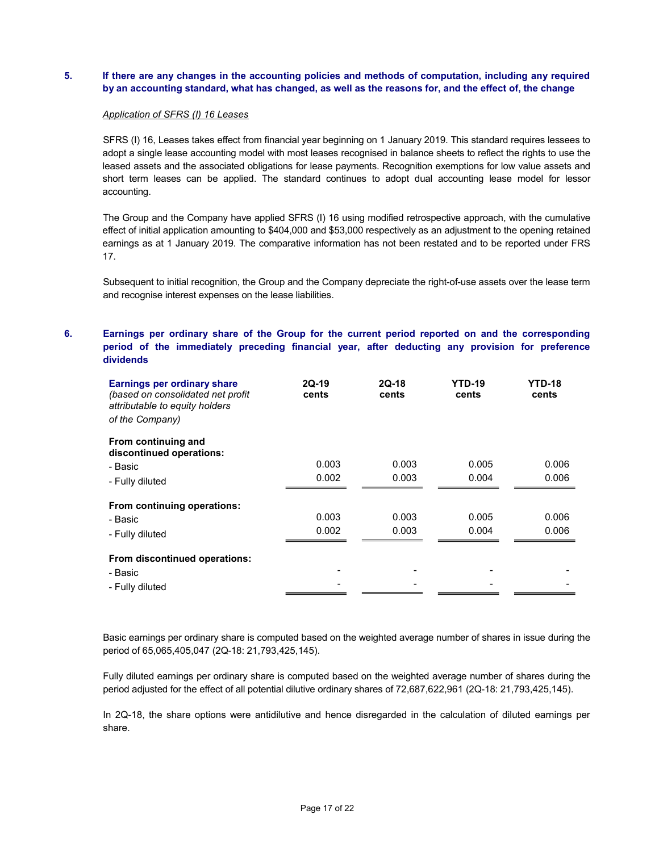# 5. If there are any changes in the accounting policies and methods of computation, including any required by an accounting standard, what has changed, as well as the reasons for, and the effect of, the change

#### Application of SFRS (I) 16 Leases

SFRS (I) 16, Leases takes effect from financial year beginning on 1 January 2019. This standard requires lessees to adopt a single lease accounting model with most leases recognised in balance sheets to reflect the rights to use the leased assets and the associated obligations for lease payments. Recognition exemptions for low value assets and short term leases can be applied. The standard continues to adopt dual accounting lease model for lessor accounting.

The Group and the Company have applied SFRS (I) 16 using modified retrospective approach, with the cumulative effect of initial application amounting to \$404,000 and \$53,000 respectively as an adjustment to the opening retained earnings as at 1 January 2019. The comparative information has not been restated and to be reported under FRS 17.

Subsequent to initial recognition, the Group and the Company depreciate the right-of-use assets over the lease term and recognise interest expenses on the lease liabilities.

# 6. Earnings per ordinary share of the Group for the current period reported on and the corresponding period of the immediately preceding financial year, after deducting any provision for preference dividends

| <b>Earnings per ordinary share</b><br>(based on consolidated net profit)<br>attributable to equity holders<br>of the Company) | $2Q-19$<br>cents | $2Q-18$<br>cents | <b>YTD-19</b><br>cents | <b>YTD-18</b><br>cents |
|-------------------------------------------------------------------------------------------------------------------------------|------------------|------------------|------------------------|------------------------|
| From continuing and<br>discontinued operations:                                                                               |                  |                  |                        |                        |
| - Basic                                                                                                                       | 0.003            | 0.003            | 0.005                  | 0.006                  |
| - Fully diluted                                                                                                               | 0.002            | 0.003            | 0.004                  | 0.006                  |
| From continuing operations:                                                                                                   |                  |                  |                        |                        |
| - Basic                                                                                                                       | 0.003            | 0.003            | 0.005                  | 0.006                  |
| - Fully diluted                                                                                                               | 0.002            | 0.003            | 0.004                  | 0.006                  |
| From discontinued operations:                                                                                                 |                  |                  |                        |                        |
| - Basic                                                                                                                       |                  |                  |                        |                        |
| - Fully diluted                                                                                                               |                  |                  |                        |                        |

Basic earnings per ordinary share is computed based on the weighted average number of shares in issue during the period of 65,065,405,047 (2Q-18: 21,793,425,145).

Fully diluted earnings per ordinary share is computed based on the weighted average number of shares during the period adjusted for the effect of all potential dilutive ordinary shares of 72,687,622,961 (2Q-18: 21,793,425,145).

In 2Q-18, the share options were antidilutive and hence disregarded in the calculation of diluted earnings per share.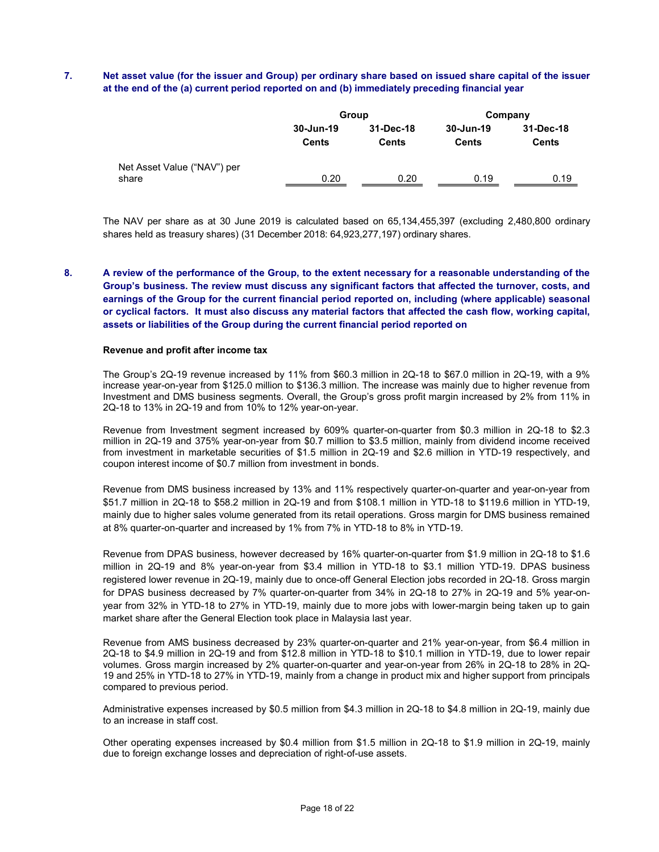# 7. Net asset value (for the issuer and Group) per ordinary share based on issued share capital of the issuer at the end of the (a) current period reported on and (b) immediately preceding financial year

|                                      | Group                     |                    | Company                   |                           |
|--------------------------------------|---------------------------|--------------------|---------------------------|---------------------------|
|                                      | 30-Jun-19<br><b>Cents</b> | 31-Dec-18<br>Cents | 30-Jun-19<br><b>Cents</b> | 31-Dec-18<br><b>Cents</b> |
| Net Asset Value ("NAV") per<br>share | 0.20                      | 0.20               | 0.19                      | 0.19                      |

The NAV per share as at 30 June 2019 is calculated based on 65,134,455,397 (excluding 2,480,800 ordinary shares held as treasury shares) (31 December 2018: 64,923,277,197) ordinary shares.

8. A review of the performance of the Group, to the extent necessary for a reasonable understanding of the Group's business. The review must discuss any significant factors that affected the turnover, costs, and earnings of the Group for the current financial period reported on, including (where applicable) seasonal or cyclical factors. It must also discuss any material factors that affected the cash flow, working capital, assets or liabilities of the Group during the current financial period reported on

#### Revenue and profit after income tax

The Group's 2Q-19 revenue increased by 11% from \$60.3 million in 2Q-18 to \$67.0 million in 2Q-19, with a 9% increase year-on-year from \$125.0 million to \$136.3 million. The increase was mainly due to higher revenue from Investment and DMS business segments. Overall, the Group's gross profit margin increased by 2% from 11% in 2Q-18 to 13% in 2Q-19 and from 10% to 12% year-on-year.

Revenue from Investment segment increased by 609% quarter-on-quarter from \$0.3 million in 2Q-18 to \$2.3 million in 2Q-19 and 375% year-on-year from \$0.7 million to \$3.5 million, mainly from dividend income received from investment in marketable securities of \$1.5 million in 2Q-19 and \$2.6 million in YTD-19 respectively, and coupon interest income of \$0.7 million from investment in bonds.

Revenue from DMS business increased by 13% and 11% respectively quarter-on-quarter and year-on-year from \$51.7 million in 2Q-18 to \$58.2 million in 2Q-19 and from \$108.1 million in YTD-18 to \$119.6 million in YTD-19, mainly due to higher sales volume generated from its retail operations. Gross margin for DMS business remained at 8% quarter-on-quarter and increased by 1% from 7% in YTD-18 to 8% in YTD-19.

Revenue from DPAS business, however decreased by 16% quarter-on-quarter from \$1.9 million in 2Q-18 to \$1.6 million in 2Q-19 and 8% year-on-year from \$3.4 million in YTD-18 to \$3.1 million YTD-19. DPAS business registered lower revenue in 2Q-19, mainly due to once-off General Election jobs recorded in 2Q-18. Gross margin for DPAS business decreased by 7% quarter-on-quarter from 34% in 2Q-18 to 27% in 2Q-19 and 5% year-onyear from 32% in YTD-18 to 27% in YTD-19, mainly due to more jobs with lower-margin being taken up to gain market share after the General Election took place in Malaysia last year.

Revenue from AMS business decreased by 23% quarter-on-quarter and 21% year-on-year, from \$6.4 million in 2Q-18 to \$4.9 million in 2Q-19 and from \$12.8 million in YTD-18 to \$10.1 million in YTD-19, due to lower repair volumes. Gross margin increased by 2% quarter-on-quarter and year-on-year from 26% in 2Q-18 to 28% in 2Q-19 and 25% in YTD-18 to 27% in YTD-19, mainly from a change in product mix and higher support from principals compared to previous period.

Administrative expenses increased by \$0.5 million from \$4.3 million in 2Q-18 to \$4.8 million in 2Q-19, mainly due to an increase in staff cost.

Other operating expenses increased by \$0.4 million from \$1.5 million in 2Q-18 to \$1.9 million in 2Q-19, mainly due to foreign exchange losses and depreciation of right-of-use assets.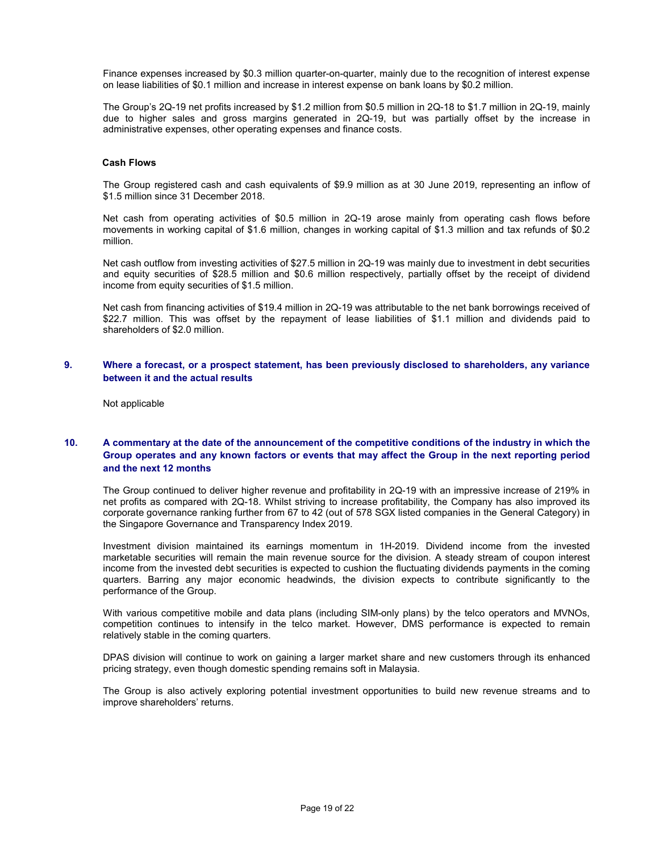Finance expenses increased by \$0.3 million quarter-on-quarter, mainly due to the recognition of interest expense on lease liabilities of \$0.1 million and increase in interest expense on bank loans by \$0.2 million.

The Group's 2Q-19 net profits increased by \$1.2 million from \$0.5 million in 2Q-18 to \$1.7 million in 2Q-19, mainly due to higher sales and gross margins generated in 2Q-19, but was partially offset by the increase in administrative expenses, other operating expenses and finance costs.

#### Cash Flows

The Group registered cash and cash equivalents of \$9.9 million as at 30 June 2019, representing an inflow of \$1.5 million since 31 December 2018.

Net cash from operating activities of \$0.5 million in 2Q-19 arose mainly from operating cash flows before movements in working capital of \$1.6 million, changes in working capital of \$1.3 million and tax refunds of \$0.2 million.

Net cash outflow from investing activities of \$27.5 million in 2Q-19 was mainly due to investment in debt securities and equity securities of \$28.5 million and \$0.6 million respectively, partially offset by the receipt of dividend income from equity securities of \$1.5 million.

Net cash from financing activities of \$19.4 million in 2Q-19 was attributable to the net bank borrowings received of \$22.7 million. This was offset by the repayment of lease liabilities of \$1.1 million and dividends paid to shareholders of \$2.0 million.

### 9. Where a forecast, or a prospect statement, has been previously disclosed to shareholders, any variance between it and the actual results

Not applicable

# 10. A commentary at the date of the announcement of the competitive conditions of the industry in which the Group operates and any known factors or events that may affect the Group in the next reporting period and the next 12 months

The Group continued to deliver higher revenue and profitability in 2Q-19 with an impressive increase of 219% in net profits as compared with 2Q-18. Whilst striving to increase profitability, the Company has also improved its corporate governance ranking further from 67 to 42 (out of 578 SGX listed companies in the General Category) in the Singapore Governance and Transparency Index 2019.

Investment division maintained its earnings momentum in 1H-2019. Dividend income from the invested marketable securities will remain the main revenue source for the division. A steady stream of coupon interest income from the invested debt securities is expected to cushion the fluctuating dividends payments in the coming quarters. Barring any major economic headwinds, the division expects to contribute significantly to the performance of the Group.

With various competitive mobile and data plans (including SIM-only plans) by the telco operators and MVNOs, competition continues to intensify in the telco market. However, DMS performance is expected to remain relatively stable in the coming quarters.

DPAS division will continue to work on gaining a larger market share and new customers through its enhanced pricing strategy, even though domestic spending remains soft in Malaysia.

The Group is also actively exploring potential investment opportunities to build new revenue streams and to improve shareholders' returns.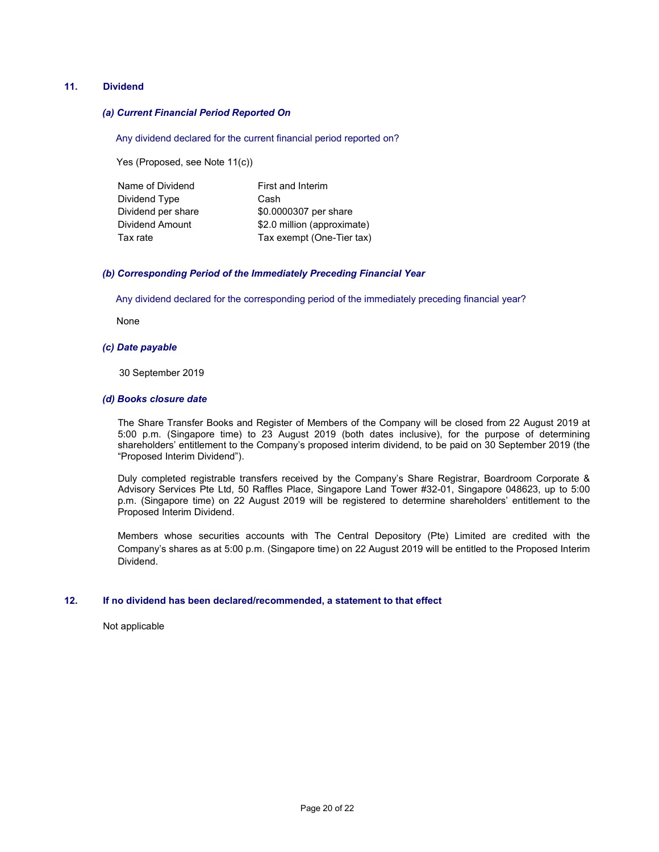## 11. Dividend

### (a) Current Financial Period Reported On

Any dividend declared for the current financial period reported on?

Yes (Proposed, see Note 11(c))

| Name of Dividend   | First and Interim           |
|--------------------|-----------------------------|
| Dividend Type      | Cash                        |
| Dividend per share | \$0.0000307 per share       |
| Dividend Amount    | \$2.0 million (approximate) |
| Tax rate           | Tax exempt (One-Tier tax)   |

#### (b) Corresponding Period of the Immediately Preceding Financial Year

Any dividend declared for the corresponding period of the immediately preceding financial year?

None

#### (c) Date payable

30 September 2019

#### (d) Books closure date

The Share Transfer Books and Register of Members of the Company will be closed from 22 August 2019 at 5:00 p.m. (Singapore time) to 23 August 2019 (both dates inclusive), for the purpose of determining shareholders' entitlement to the Company's proposed interim dividend, to be paid on 30 September 2019 (the "Proposed Interim Dividend").

Duly completed registrable transfers received by the Company's Share Registrar, Boardroom Corporate & Advisory Services Pte Ltd, 50 Raffles Place, Singapore Land Tower #32-01, Singapore 048623, up to 5:00 p.m. (Singapore time) on 22 August 2019 will be registered to determine shareholders' entitlement to the Proposed Interim Dividend.

Members whose securities accounts with The Central Depository (Pte) Limited are credited with the Company's shares as at 5:00 p.m. (Singapore time) on 22 August 2019 will be entitled to the Proposed Interim Dividend.

#### 12. If no dividend has been declared/recommended, a statement to that effect

Not applicable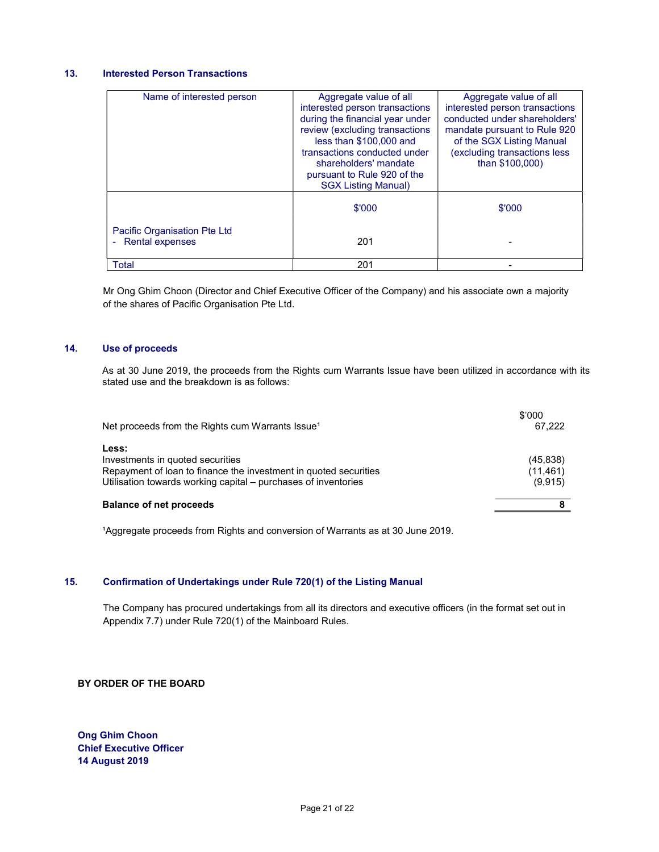# 13. Interested Person Transactions

| Name of interested person           | Aggregate value of all<br>interested person transactions<br>during the financial year under<br>review (excluding transactions<br>less than \$100,000 and<br>transactions conducted under<br>shareholders' mandate<br>pursuant to Rule 920 of the<br><b>SGX Listing Manual)</b> | Aggregate value of all<br>interested person transactions<br>conducted under shareholders'<br>mandate pursuant to Rule 920<br>of the SGX Listing Manual<br>(excluding transactions less<br>than \$100,000) |
|-------------------------------------|--------------------------------------------------------------------------------------------------------------------------------------------------------------------------------------------------------------------------------------------------------------------------------|-----------------------------------------------------------------------------------------------------------------------------------------------------------------------------------------------------------|
| <b>Pacific Organisation Pte Ltd</b> | \$'000                                                                                                                                                                                                                                                                         | \$'000                                                                                                                                                                                                    |
| - Rental expenses                   | 201                                                                                                                                                                                                                                                                            |                                                                                                                                                                                                           |
| Total                               | 201                                                                                                                                                                                                                                                                            |                                                                                                                                                                                                           |

Mr Ong Ghim Choon (Director and Chief Executive Officer of the Company) and his associate own a majority of the shares of Pacific Organisation Pte Ltd.

## 14. Use of proceeds

 As at 30 June 2019, the proceeds from the Rights cum Warrants Issue have been utilized in accordance with its stated use and the breakdown is as follows:

| Net proceeds from the Rights cum Warrants Issue <sup>1</sup>                                                                                                                    | \$'000<br>67.222                  |
|---------------------------------------------------------------------------------------------------------------------------------------------------------------------------------|-----------------------------------|
| Less:<br>Investments in quoted securities<br>Repayment of loan to finance the investment in quoted securities<br>Utilisation towards working capital - purchases of inventories | (45, 838)<br>(11, 461)<br>(9,915) |
| <b>Balance of net proceeds</b>                                                                                                                                                  |                                   |

<sup>1</sup>Aggregate proceeds from Rights and conversion of Warrants as at 30 June 2019.

### 15. Confirmation of Undertakings under Rule 720(1) of the Listing Manual

The Company has procured undertakings from all its directors and executive officers (in the format set out in Appendix 7.7) under Rule 720(1) of the Mainboard Rules.

#### BY ORDER OF THE BOARD

Ong Ghim Choon Chief Executive Officer 14 August 2019